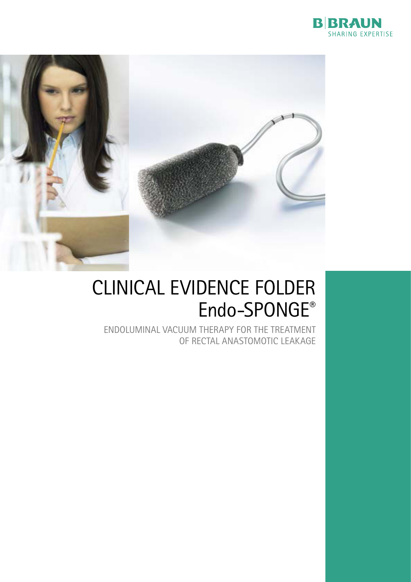



### CLINICAL EVIDENCE FOLDER Endo-SPONGE®

ENDOLUMINAL VACUUM THERAPY FOR THE TREATMENT of rectal anastomotic leakage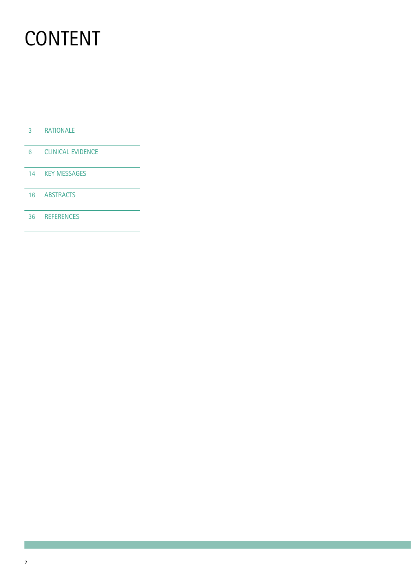# **CONTENT**

- 3 Rationale
- 6 Clinical Evidence
- 14 Key Messages
- 16 ABSTRACTS
- 36 REFERENCES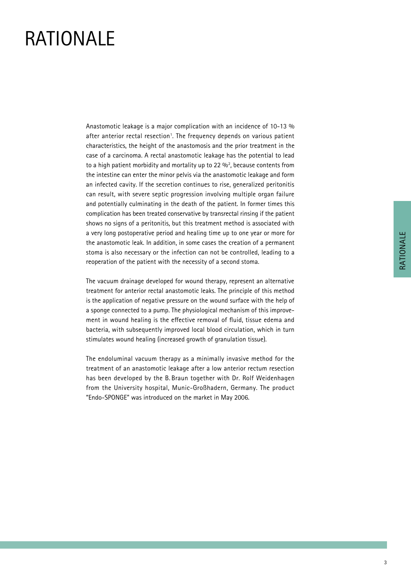### **RATIONALE**

Anastomotic leakage is a major complication with an incidence of 10-13 % after anterior rectal resection<sup>1</sup>. The frequency depends on various patient characteristics, the height of the anastomosis and the prior treatment in the case of a carcinoma. A rectal anastomotic leakage has the potential to lead to a high patient morbidity and mortality up to 22  $\%$ <sup>2</sup>, because contents from the intestine can enter the minor pelvis via the anastomotic leakage and form an infected cavity. If the secretion continues to rise, generalized peritonitis can result, with severe septic progression involving multiple organ failure and potentially culminating in the death of the patient. In former times this complication has been treated conservative by transrectal rinsing if the patient shows no signs of a peritonitis, but this treatment method is associated with a very long postoperative period and healing time up to one year or more for the anastomotic leak. In addition, in some cases the creation of a permanent stoma is also necessary or the infection can not be controlled, leading to a reoperation of the patient with the necessity of a second stoma.

The vacuum drainage developed for wound therapy, represent an alternative treatment for anterior rectal anastomotic leaks. The principle of this method is the application of negative pressure on the wound surface with the help of a sponge connected to a pump. The physiological mechanism of this improvement in wound healing is the effective removal of fluid, tissue edema and bacteria, with subsequently improved local blood circulation, which in turn stimulates wound healing (increased growth of granulation tissue).

The endoluminal vacuum therapy as a minimally invasive method for the treatment of an anastomotic leakage after a low anterior rectum resection has been developed by the B. Braun together with Dr. Rolf Weidenhagen from the University hospital, Munic-Großhadern, Germany. The product "Endo-SPONGE" was introduced on the market in May 2006.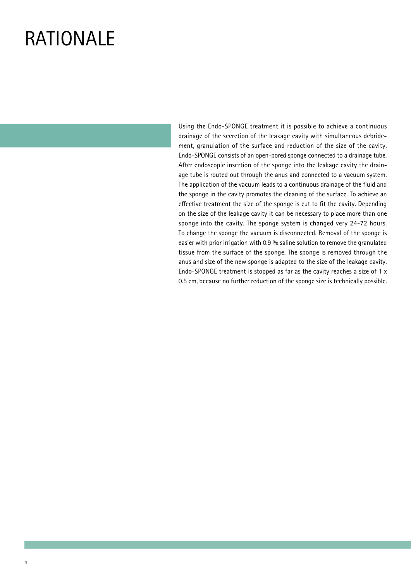### **RATIONALE**

Using the Endo-SPONGE treatment it is possible to achieve a continuous drainage of the secretion of the leakage cavity with simultaneous debridement, granulation of the surface and reduction of the size of the cavity. Endo-SPONGE consists of an open-pored sponge connected to a drainage tube. After endoscopic insertion of the sponge into the leakage cavity the drainage tube is routed out through the anus and connected to a vacuum system. The application of the vacuum leads to a continuous drainage of the fluid and the sponge in the cavity promotes the cleaning of the surface. To achieve an effective treatment the size of the sponge is cut to fit the cavity. Depending on the size of the leakage cavity it can be necessary to place more than one sponge into the cavity. The sponge system is changed very 24-72 hours. To change the sponge the vacuum is disconnected. Removal of the sponge is easier with prior irrigation with 0.9 % saline solution to remove the granulated tissue from the surface of the sponge. The sponge is removed through the anus and size of the new sponge is adapted to the size of the leakage cavity. Endo-SPONGE treatment is stopped as far as the cavity reaches a size of 1 x 0.5 cm, because no further reduction of the sponge size is technically possible.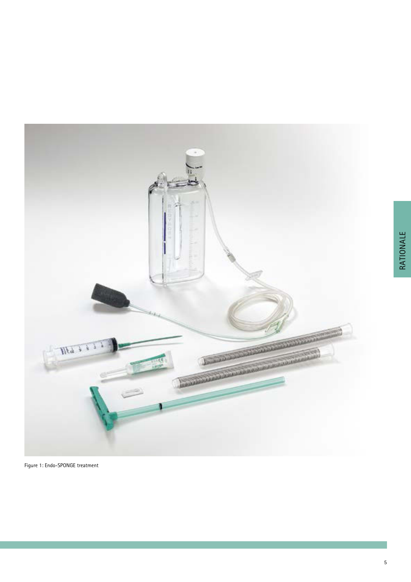

Rationale

RATIONALE

Figure 1: Endo-SPONGE treatment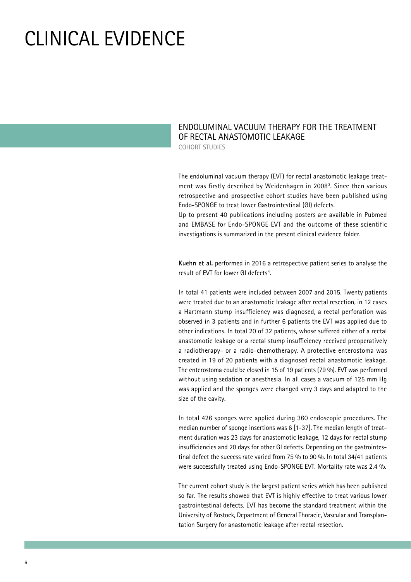### Clinical Evidence

#### Endoluminal vacuum therapy for the treatment of rectal anastomotic leakage Cohort studies

The endoluminal vacuum therapy (EVT) for rectal anastomotic leakage treatment was firstly described by Weidenhagen in 20083 . Since then various retrospective and prospective cohort studies have been published using Endo-SPONGE to treat lower Gastrointestinal (GI) defects.

Up to present 40 publications including posters are available in Pubmed and EMBASE for Endo-SPONGE EVT and the outcome of these scientific investigations is summarized in the present clinical evidence folder.

**Kuehn et al.** performed in 2016 a retrospective patient series to analyse the result of EVT for lower GI defects<sup>4</sup>.

In total 41 patients were included between 2007 and 2015. Twenty patients were treated due to an anastomotic leakage after rectal resection, in 12 cases a Hartmann stump insufficiency was diagnosed, a rectal perforation was observed in 3 patients and in further 6 patients the EVT was applied due to other indications. In total 20 of 32 patients, whose suffered either of a rectal anastomotic leakage or a rectal stump insufficiency received preoperatively a radiotherapy- or a radio-chemotherapy. A protective enterostoma was created in 19 of 20 patients with a diagnosed rectal anastomotic leakage. The enterostoma could be closed in 15 of 19 patients (79 %). EVT was performed without using sedation or anesthesia. In all cases a vacuum of 125 mm Hg was applied and the sponges were changed very 3 days and adapted to the size of the cavity.

In total 426 sponges were applied during 360 endoscopic procedures. The median number of sponge insertions was 6 [1-37]. The median length of treatment duration was 23 days for anastomotic leakage, 12 days for rectal stump insufficiencies and 20 days for other GI defects. Depending on the gastrointestinal defect the success rate varied from 75 % to 90 %. In total 34/41 patients were successfully treated using Endo-SPONGE EVT. Mortality rate was 2.4 %.

The current cohort study is the largest patient series which has been published so far. The results showed that EVT is highly effective to treat various lower gastrointestinal defects. EVT has become the standard treatment within the University of Rostock, Department of General Thoracic, Vascular and Transplantation Surgery for anastomotic leakage after rectal resection.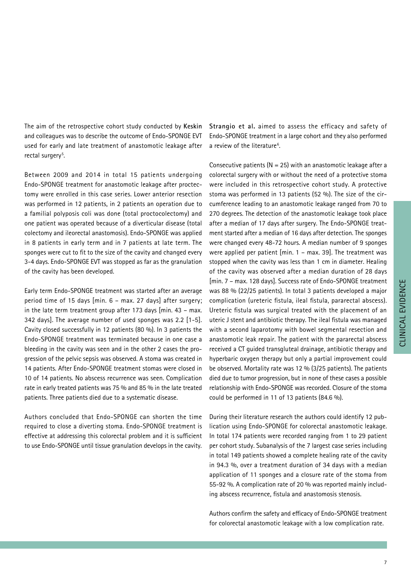The aim of the retrospective cohort study conducted by **Keskin** and colleagues was to describe the outcome of Endo-SPONGE EVT used for early and late treatment of anastomotic leakage after rectal surgery<sup>5</sup>.

Between 2009 and 2014 in total 15 patients undergoing Endo-SPONGE treatment for anastomotic leakage after proctectomy were enrolled in this case series. Lower anterior resection was performed in 12 patients, in 2 patients an operation due to a familial polyposis coli was done (total proctocolectomy) and one patient was operated because of a diverticular disease (total colectomy and ileorectal anastomosis). Endo-SPONGE was applied in 8 patients in early term and in 7 patients at late term. The sponges were cut to fit to the size of the cavity and changed every 3-4 days. Endo-SPONGE EVT was stopped as far as the granulation of the cavity has been developed.

Early term Endo-SPONGE treatment was started after an average period time of 15 days [min. 6 – max. 27 days] after surgery; in the late term treatment group after 173 days [min. 43 – max. 342 days]. The average number of used sponges was 2.2 [1-5]. Cavity closed successfully in 12 patients (80 %). In 3 patients the Endo-SPONGE treatment was terminated because in one case a bleeding in the cavity was seen and in the other 2 cases the progression of the pelvic sepsis was observed. A stoma was created in 14 patients. After Endo-SPONGE treatment stomas were closed in 10 of 14 patients. No abscess recurrence was seen. Complication rate in early treated patients was 75 % and 85 % in the late treated patients. Three patients died due to a systematic disease.

Authors concluded that Endo-SPONGE can shorten the time required to close a diverting stoma. Endo-SPONGE treatment is effective at addressing this colorectal problem and it is sufficient to use Endo-SPONGE until tissue granulation develops in the cavity. **Strangio et al.** aimed to assess the efficacy and safety of Endo-SPONGE treatment in a large cohort and they also performed a review of the literature<sup>6</sup>.

Consecutive patients ( $N = 25$ ) with an anastomotic leakage after a colorectal surgery with or without the need of a protective stoma were included in this retrospective cohort study. A protective stoma was performed in 13 patients (52 %). The size of the circumference leading to an anastomotic leakage ranged from 70 to 270 degrees. The detection of the anastomotic leakage took place after a median of 17 days after surgery. The Endo-SPONGE treatment started after a median of 16 days after detection. The sponges were changed every 48-72 hours. A median number of 9 sponges were applied per patient [min. 1 – max. 39]. The treatment was stopped when the cavity was less than 1 cm in diameter. Healing of the cavity was observed after a median duration of 28 days [min. 7 – max. 128 days]. Success rate of Endo-SPONGE treatment was 88 % (22/25 patients). In total 3 patients developed a major complication (ureteric fistula, ileal fistula, pararectal abscess). Ureteric fistula was surgical treated with the placement of an uteric J stent and antibiotic therapy. The ileal fistula was managed with a second laparotomy with bowel segmental resection and anastomotic leak repair. The patient with the pararectal abscess received a CT guided transgluteal drainage, antibiotic therapy and hyperbaric oxygen therapy but only a partial improvement could be observed. Mortality rate was 12 % (3/25 patients). The patients died due to tumor progression, but in none of these cases a possible relationship with Endo-SPONGE was recorded. Closure of the stoma could be performed in 11 of 13 patients (84.6 %).

During their literature research the authors could identify 12 publication using Endo-SPONGE for colorectal anastomotic leakage. In total 174 patients were recorded ranging from 1 to 29 patient per cohort study. Subanalysis of the 7 largest case series including in total 149 patients showed a complete healing rate of the cavity in 94.3 %, over a treatment duration of 34 days with a median application of 11 sponges and a closure rate of the stoma from 55-92 %. A complication rate of 20 % was reported mainly including abscess recurrence, fistula and anastomosis stenosis.

Authors confirm the safety and efficacy of Endo-SPONGE treatment for colorectal anastomotic leakage with a low complication rate.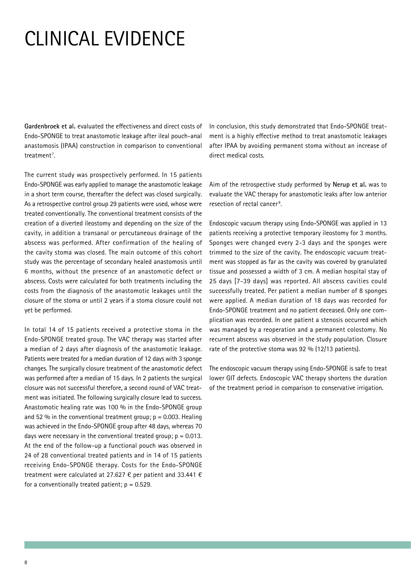# Clinical Evidence

**Gardenbroek et al.** evaluated the effectiveness and direct costs of Endo-SPONGE to treat anastomotic leakage after ileal pouch-anal anastomosis (IPAA) construction in comparison to conventional treatment<sup>7</sup>.

The current study was prospectively performed. In 15 patients Endo-SPONGE was early applied to manage the anastomotic leakage in a short term course, thereafter the defect was closed surgically. As a retrospective control group 29 patients were used, whose were treated conventionally. The conventional treatment consists of the creation of a diverted ileostomy and depending on the size of the cavity, in addition a transanal or percutaneous drainage of the abscess was performed. After confirmation of the healing of the cavity stoma was closed. The main outcome of this cohort study was the percentage of secondary healed anastomosis until 6 months, without the presence of an anastomotic defect or abscess. Costs were calculated for both treatments including the costs from the diagnosis of the anastomotic leakages until the closure of the stoma or until 2 years if a stoma closure could not yet be performed.

In total 14 of 15 patients received a protective stoma in the Endo-SPONGE treated group. The VAC therapy was started after a median of 2 days after diagnosis of the anastomotic leakage. Patients were treated for a median duration of 12 days with 3 sponge changes. The surgically closure treatment of the anastomotic defect was performed after a median of 15 days. In 2 patients the surgical closure was not successful therefore, a second round of VAC treatment was initiated. The following surgically closure lead to success. Anastomotic healing rate was 100 % in the Endo-SPONGE group and 52 % in the conventional treatment group;  $p = 0.003$ . Healing was achieved in the Endo-SPONGE group after 48 days, whereas 70 days were necessary in the conventional treated group;  $p = 0.013$ . At the end of the follow-up a functional pouch was observed in 24 of 28 conventional treated patients and in 14 of 15 patients receiving Endo-SPONGE therapy. Costs for the Endo-SPONGE treatment were calculated at 27.627 € per patient and 33.441 € for a conventionally treated patient;  $p = 0.529$ .

In conclusion, this study demonstrated that Endo-SPONGE treatment is a highly effective method to treat anastomotic leakages after IPAA by avoiding permanent stoma without an increase of direct medical costs.

Aim of the retrospective study performed by **Nerup et al.** was to evaluate the VAC therapy for anastomotic leaks after low anterior resection of rectal cancer<sup>8</sup>.

Endoscopic vacuum therapy using Endo-SPONGE was applied in 13 patients receiving a protective temporary ileostomy for 3 months. Sponges were changed every 2-3 days and the sponges were trimmed to the size of the cavity. The endoscopic vacuum treatment was stopped as far as the cavity was covered by granulated tissue and possessed a width of 3 cm. A median hospital stay of 25 days [7-39 days] was reported. All abscess cavities could successfully treated. Per patient a median number of 8 sponges were applied. A median duration of 18 days was recorded for Endo-SPONGE treatment and no patient deceased. Only one complication was recorded. In one patient a stenosis occurred which was managed by a reoperation and a permanent colostomy. No recurrent abscess was observed in the study population. Closure rate of the protective stoma was 92 % (12/13 patients).

The endoscopic vacuum therapy using Endo-SPONGE is safe to treat lower GIT defects. Endoscopic VAC therapy shortens the duration of the treatment period in comparison to conservative irrigation.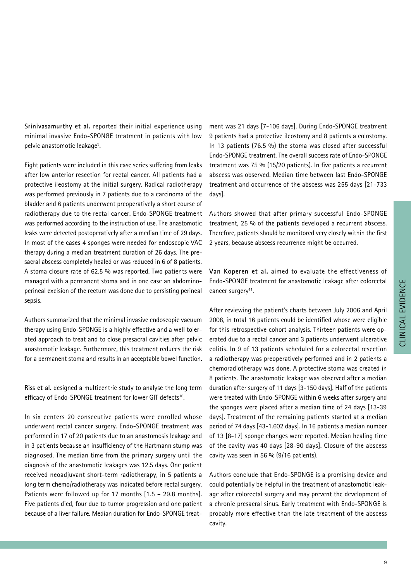**Srinivasamurthy et al.** reported their initial experience using minimal invasive Endo-SPONGE treatment in patients with low pelvic anastomotic leakage<sup>9</sup>.

Eight patients were included in this case series suffering from leaks after low anterior resection for rectal cancer. All patients had a protective ileostomy at the initial surgery. Radical radiotherapy was performed previously in 7 patients due to a carcinoma of the bladder and 6 patients underwent preoperatively a short course of radiotherapy due to the rectal cancer. Endo-SPONGE treatment was performed according to the instruction of use. The anastomotic leaks were detected postoperatively after a median time of 29 days. In most of the cases 4 sponges were needed for endoscopic VAC therapy during a median treatment duration of 26 days. The presacral abscess completely healed or was reduced in 6 of 8 patients. A stoma closure rate of 62.5 % was reported. Two patients were managed with a permanent stoma and in one case an abdominoperineal excision of the rectum was done due to persisting perineal sepsis.

Authors summarized that the minimal invasive endoscopic vacuum therapy using Endo-SPONGE is a highly effective and a well tolerated approach to treat and to close presacral cavities after pelvic anastomotic leakage. Furthermore, this treatment reduces the risk for a permanent stoma and results in an acceptable bowel function.

**Riss et al.** designed a multicentric study to analyse the long term efficacy of Endo-SPONGE treatment for lower GIT defects<sup>10</sup>.

In six centers 20 consecutive patients were enrolled whose underwent rectal cancer surgery. Endo-SPONGE treatment was performed in 17 of 20 patients due to an anastomosis leakage and in 3 patients because an insufficiency of the Hartmann stump was diagnosed. The median time from the primary surgery until the diagnosis of the anastomotic leakages was 12.5 days. One patient received neoadjuvant short-term radiotherapy, in 5 patients a long term chemo/radiotherapy was indicated before rectal surgery. Patients were followed up for 17 months [1.5 – 29.8 months]. Five patients died, four due to tumor progression and one patient because of a liver failure. Median duration for Endo-SPONGE treat-

ment was 21 days [7-106 days]. During Endo-SPONGE treatment 9 patients had a protective ileostomy and 8 patients a colostomy. In 13 patients (76.5 %) the stoma was closed after successful Endo-SPONGE treatment. The overall success rate of Endo-SPONGE treatment was 75 % (15/20 patients). In five patients a recurrent abscess was observed. Median time between last Endo-SPONGE treatment and occurrence of the abscess was 255 days [21-733 days].

Authors showed that after primary successful Endo-SPONGE treatment, 25 % of the patients developed a recurrent abscess. Therefore, patients should be monitored very closely within the first 2 years, because abscess recurrence might be occurred.

**Van Koperen et al.** aimed to evaluate the effectiveness of Endo-SPONGE treatment for anastomotic leakage after colorectal cancer surgery<sup>11</sup>.

After reviewing the patient's charts between July 2006 and April 2008, in total 16 patients could be identified whose were eligible for this retrospective cohort analysis. Thirteen patients were operated due to a rectal cancer and 3 patients underwent ulcerative colitis. In 9 of 13 patients scheduled for a colorectal resection a radiotherapy was preoperatively performed and in 2 patients a chemoradiotherapy was done. A protective stoma was created in 8 patients. The anastomotic leakage was observed after a median duration after surgery of 11 days [3-150 days]. Half of the patients were treated with Endo-SPONGE within 6 weeks after surgery and the sponges were placed after a median time of 24 days [13-39 days]. Treatment of the remaining patients started at a median period of 74 days [43-1.602 days]. In 16 patients a median number of 13 [8-17] sponge changes were reported. Median healing time of the cavity was 40 days [28-90 days]. Closure of the abscess cavity was seen in 56 % (9/16 patients).

Authors conclude that Endo-SPONGE is a promising device and could potentially be helpful in the treatment of anastomotic leakage after colorectal surgery and may prevent the development of a chronic presacral sinus. Early treatment with Endo-SPONGE is probably more effective than the late treatment of the abscess cavity.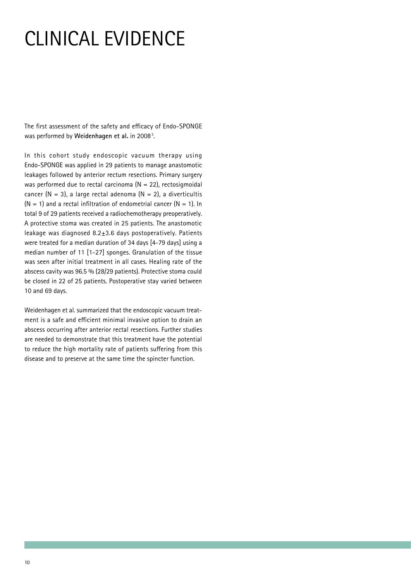# Clinical Evidence

The first assessment of the safety and efficacy of Endo-SPONGE was performed by **Weidenhagen et al.** in 20083 .

In this cohort study endoscopic vacuum therapy using Endo-SPONGE was applied in 29 patients to manage anastomotic leakages followed by anterior rectum resections. Primary surgery was performed due to rectal carcinoma  $(N = 22)$ , rectosigmoidal cancer (N = 3), a large rectal adenoma (N = 2), a diverticultis  $(N = 1)$  and a rectal infiltration of endometrial cancer  $(N = 1)$ . In total 9 of 29 patients received a radiochemotherapy preoperatively. A protective stoma was created in 25 patients. The anastomotic leakage was diagnosed 8.2±3.6 days postoperatively. Patients were treated for a median duration of 34 days [4-79 days] using a median number of 11 [1-27] sponges. Granulation of the tissue was seen after initial treatment in all cases. Healing rate of the abscess cavity was 96.5 % (28/29 patients). Protective stoma could be closed in 22 of 25 patients. Postoperative stay varied between 10 and 69 days.

Weidenhagen et al. summarized that the endoscopic vacuum treatment is a safe and efficient minimal invasive option to drain an abscess occurring after anterior rectal resections. Further studies are needed to demonstrate that this treatment have the potential to reduce the high mortality rate of patients suffering from this disease and to preserve at the same time the spincter function.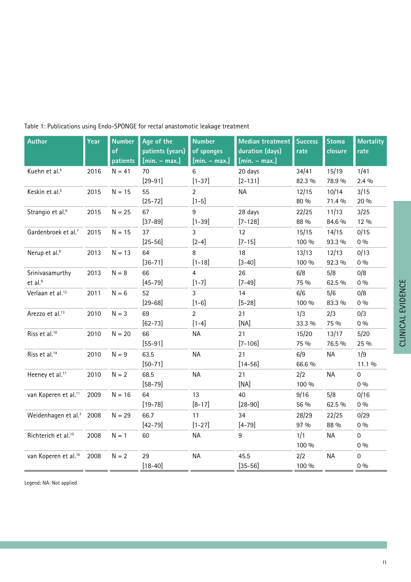| <b>Author</b>                        | Year | <b>Number</b><br>of<br>patients | Age of the<br>patients (years)<br>$[min. - max.]$ | <b>Number</b><br>of sponges<br>$[min. - max.]$ | <b>Median treatment</b><br>duration (days)<br>$[min. - max.]$ | <b>Success</b><br>rate | <b>Stoma</b><br>closure | <b>Mortality</b><br>rate |
|--------------------------------------|------|---------------------------------|---------------------------------------------------|------------------------------------------------|---------------------------------------------------------------|------------------------|-------------------------|--------------------------|
| Kuehn et al. <sup>4</sup>            | 2016 | $N = 41$                        | 70                                                | 6                                              | 20 days                                                       | 34/41                  | 15/19                   | 1/41                     |
|                                      |      |                                 | $[29-91]$                                         | $[1 - 37]$                                     | $[2 - 131]$                                                   | 82.3 %                 | 78.9 %                  | $2.4\%$                  |
| Keskin et al. <sup>5</sup>           | 2015 | $N = 15$                        | 55                                                | $\overline{2}$                                 | <b>NA</b>                                                     | 12/15                  | 10/14                   | 3/15                     |
|                                      |      |                                 | $(25 - 72)$                                       | $[1 - 5]$                                      |                                                               | 80 %                   | 71.4 %                  | 20 %                     |
| Strangio et al. <sup>6</sup>         | 2015 | $N = 25$                        | 67                                                | 9                                              | 28 days                                                       | 22/25                  | 11/13                   | 3/25                     |
|                                      |      |                                 | $[37-89]$                                         | $[1 - 39]$                                     | $[7 - 128]$                                                   | 88 %                   | 84.6 %                  | 12 %                     |
| Gardenbroek et al. <sup>7</sup>      | 2015 | $N = 15$                        | 37                                                | 3                                              | 12                                                            | 15/15                  | 14/15                   | 0/15                     |
|                                      |      |                                 | $[25 - 56]$                                       | $[2-4]$                                        | $[7 - 15]$                                                    | 100 %                  | 93.3 %                  | $0\%$                    |
| Nerup et al. <sup>8</sup>            | 2013 | $N = 13$                        | 64                                                | 8                                              | 18                                                            | 13/13                  | 12/13                   | 0/13                     |
|                                      |      |                                 | $[36 - 71]$                                       | $[1 - 18]$                                     | $[3 - 40]$                                                    | 100 %                  | 92.3 %                  | $0\%$                    |
| Srinivasamurthy                      | 2013 | $N = 8$                         | 66                                                | 4                                              | 26                                                            | 6/8                    | 5/8                     | 0/8                      |
| et al. <sup>9</sup>                  |      |                                 | $[45 - 79]$                                       | $[1-7]$                                        | $[7-49]$                                                      | 75 %                   | 62.5 %                  | $0\%$                    |
| Verlaan et al. <sup>12</sup>         | 2011 | $N = 6$                         | 52                                                | 3                                              | 14                                                            | 6/6                    | 5/6                     | 0/8                      |
|                                      |      |                                 | $[29 - 68]$                                       | $[1-6]$                                        | $[5 - 28]$                                                    | 100 %                  | 83.3 %                  | $0\%$                    |
| Arezzo et al. <sup>13</sup>          | 2010 | $N = 3$                         | 69                                                | $\overline{2}$                                 | 21                                                            | 1/3                    | 2/3                     | 0/3                      |
|                                      |      |                                 | $[62 - 73]$                                       | $[1-4]$                                        | [NA]                                                          | 33.3 %                 | 75 %                    | $0\%$                    |
| Riss et al. <sup>10</sup>            | 2010 | $N = 20$                        | 66                                                | <b>NA</b>                                      | 21                                                            | 15/20                  | 13/17                   | 5/20                     |
|                                      |      |                                 | $[55-91]$                                         |                                                | $[7 - 106]$                                                   | 75 %                   | 76.5 %                  | 25 %                     |
| Riss et al. <sup>14</sup>            | 2010 | $N = 9$                         | 63.5                                              | <b>NA</b>                                      | 21                                                            | 6/9                    | <b>NA</b>               | 1/9                      |
|                                      |      |                                 | $[50 - 71]$                                       |                                                | $[14 - 56]$                                                   | 66.6 %                 |                         | 11.1 %                   |
| Heeney et al. <sup>17</sup>          | 2010 | $N = 2$                         | 68.5                                              | <b>NA</b>                                      | 21                                                            | 2/2                    | <b>NA</b>               | $\mathbf 0$              |
|                                      |      |                                 | $[58 - 79]$                                       |                                                | [NA]                                                          | 100 %                  |                         | $0\%$                    |
| van Koperen et al. <sup>11</sup>     | 2009 | $N = 16$                        | 64                                                | 13                                             | 40                                                            | 9/16                   | 5/8                     | 0/16                     |
|                                      |      |                                 | $[19 - 78]$                                       | $[8 - 17]$                                     | $[28 - 90]$                                                   | 56 %                   | 62.5 %                  | $0\%$                    |
| Weidenhagen et al. <sup>3</sup> 2008 |      | $N = 29$                        | 66.7                                              | 11                                             | 34                                                            | 28/29                  | 22/25                   | 0/29                     |
|                                      |      |                                 | $[42 - 79]$                                       | $[1 - 27]$                                     | $[4 - 79]$                                                    | 97 %                   | 88 %                    | $0\%$                    |
| Richterich et al. <sup>15</sup>      | 2008 | $N = 1$                         | 60                                                | <b>NA</b>                                      | 9                                                             | 1/1                    | <b>NA</b>               | $\mathbf 0$              |
|                                      |      |                                 |                                                   |                                                |                                                               | 100 %                  |                         | $0\%$                    |
| van Koperen et al. <sup>16</sup>     | 2008 | $N = 2$                         | 29                                                | <b>NA</b>                                      | 45.5                                                          | 2/2                    | <b>NA</b>               | $\mathbf 0$              |
|                                      |      |                                 | $[18 - 40]$                                       |                                                | $[35 - 56]$                                                   | 100 %                  |                         | $0\%$                    |

### Table 1: Publications using Endo-SPONGE for rectal anastomotic leakage treatment

Legend: NA: Not applied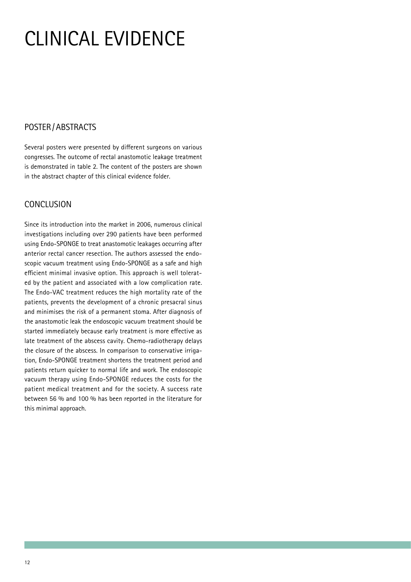# Clinical Evidence

### Poster /Abstracts

Several posters were presented by different surgeons on various congresses. The outcome of rectal anastomotic leakage treatment is demonstrated in table 2. The content of the posters are shown in the abstract chapter of this clinical evidence folder.

### **CONCLUSION**

Since its introduction into the market in 2006, numerous clinical investigations including over 290 patients have been performed using Endo-SPONGE to treat anastomotic leakages occurring after anterior rectal cancer resection. The authors assessed the endoscopic vacuum treatment using Endo-SPONGE as a safe and high efficient minimal invasive option. This approach is well tolerated by the patient and associated with a low complication rate. The Endo-VAC treatment reduces the high mortality rate of the patients, prevents the development of a chronic presacral sinus and minimises the risk of a permanent stoma. After diagnosis of the anastomotic leak the endoscopic vacuum treatment should be started immediately because early treatment is more effective as late treatment of the abscess cavity. Chemo-radiotherapy delays the closure of the abscess. In comparison to conservative irrigation, Endo-SPONGE treatment shortens the treatment period and patients return quicker to normal life and work. The endoscopic vacuum therapy using Endo-SPONGE reduces the costs for the patient medical treatment and for the society. A success rate between 56 % and 100 % has been reported in the literature for this minimal approach.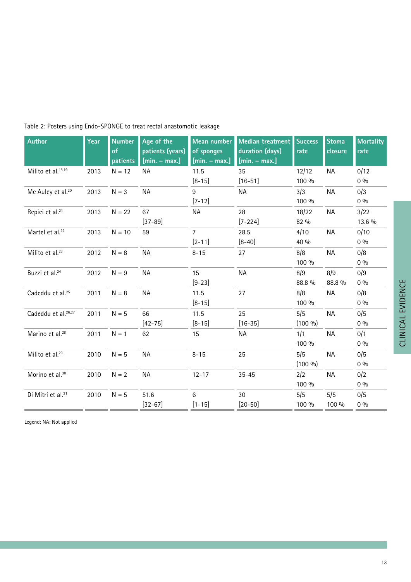| <b>Author</b>                   | Year | <b>Number</b><br>of<br>patients | Age of the<br>patients (years)<br>$[min. - max.]$ | <b>Mean number</b><br>of sponges<br>$[min. - max.]$ | <b>Median treatment</b><br>duration (days)<br>$[min. - max.]$ | <b>Success</b><br>rate | <b>Stoma</b><br>closure | <b>Mortality</b><br>rate |
|---------------------------------|------|---------------------------------|---------------------------------------------------|-----------------------------------------------------|---------------------------------------------------------------|------------------------|-------------------------|--------------------------|
| Milito et al. <sup>18,19</sup>  | 2013 | $N = 12$                        | <b>NA</b>                                         | 11.5                                                | 35                                                            | 12/12                  | <b>NA</b>               | 0/12                     |
|                                 |      |                                 |                                                   | $[8 - 15]$                                          | $[16 - 51]$                                                   | 100 %                  |                         | $0\%$                    |
| Mc Auley et al. <sup>20</sup>   | 2013 | $N = 3$                         | <b>NA</b>                                         | 9<br>$[7-12]$                                       | <b>NA</b>                                                     | 3/3<br>100 %           | <b>NA</b>               | 0/3<br>$0\%$             |
| Repici et al. <sup>21</sup>     | 2013 | $N = 22$                        | 67<br>$[37 - 89]$                                 | NА                                                  | 28<br>$[7 - 224]$                                             | 18/22<br>82 %          | <b>NA</b>               | 3/22<br>13.6 %           |
| Martel et al. <sup>22</sup>     | 2013 | $N = 10$                        | 59                                                | $\overline{7}$                                      | 28.5                                                          | 4/10                   | <b>NA</b>               | 0/10                     |
|                                 |      |                                 |                                                   | $[2 - 11]$                                          | $[8 - 40]$                                                    | 40 %                   |                         | $0\%$                    |
| Milito et al. <sup>23</sup>     | 2012 | $N = 8$                         | <b>NA</b>                                         | $8 - 15$                                            | 27                                                            | 8/8<br>100 %           | <b>NA</b>               | 0/8<br>$0\%$             |
| Buzzi et al. <sup>24</sup>      | 2012 | $N = 9$                         | <b>NA</b>                                         | 15<br>$[9-23]$                                      | <b>NA</b>                                                     | 8/9<br>88.8 %          | 8/9<br>88.8 %           | 0/9<br>$0\%$             |
| Cadeddu et al. <sup>25</sup>    | 2011 | $N = 8$                         | <b>NA</b>                                         | 11.5<br>$[8 - 15]$                                  | 27                                                            | 8/8<br>100 %           | <b>NA</b>               | 0/8<br>$0\%$             |
| Cadeddu et al. <sup>26,27</sup> | 2011 | $N = 5$                         | 66<br>$[42 - 75]$                                 | 11.5<br>$[8 - 15]$                                  | 25<br>$[16 - 35]$                                             | 5/5<br>$(100\%)$       | <b>NA</b>               | 0/5<br>$0\%$             |
| Marino et al. <sup>28</sup>     | 2011 | $N = 1$                         | 62                                                | 15                                                  | <b>NA</b>                                                     | 1/1<br>100 %           | <b>NA</b>               | 0/1<br>$0\%$             |
| Milito et al. <sup>29</sup>     | 2010 | $N = 5$                         | <b>NA</b>                                         | $8 - 15$                                            | 25                                                            | 5/5<br>$(100\%)$       | <b>NA</b>               | 0/5<br>$0\%$             |
| Morino et al. <sup>30</sup>     | 2010 | $N = 2$                         | <b>NA</b>                                         | $12 - 17$                                           | $35 - 45$                                                     | 2/2<br>100 %           | <b>NA</b>               | 0/2<br>$0\%$             |
| Di Mitri et al. <sup>31</sup>   | 2010 | $N = 5$                         | 51.6<br>$[32 - 67]$                               | 6<br>$[1 - 15]$                                     | 30<br>$[20 - 50]$                                             | 5/5<br>100 %           | 5/5<br>100 %            | 0/5<br>$0\%$             |

Table 2: Posters using Endo-SPONGE to treat rectal anastomotic leakage

Legend: NA: Not applied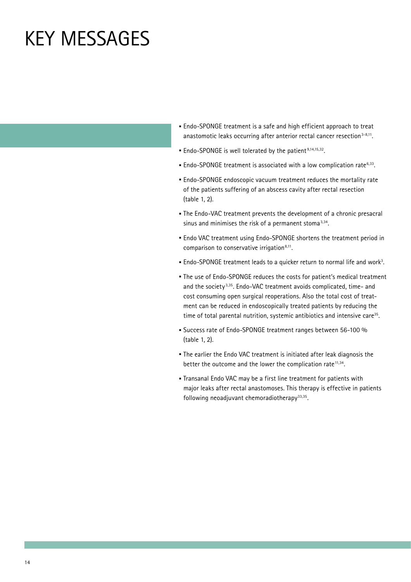### Key Messages

- **·** Endo-SPONGE treatment is a safe and high efficient approach to treat anastomotic leaks occurring after anterior rectal cancer resection<sup>3-8,11</sup>.
- **·** Endo-SPONGE is well tolerated by the patient 9,14,15,32.
- **·** Endo-SPONGE treatment is associated with a low complication rate6,33.
- **·** Endo-SPONGE endoscopic vacuum treatment reduces the mortality rate of the patients suffering of an abscess cavity after rectal resection (table 1, 2).
- **·** The Endo-VAC treatment prevents the development of a chronic presacral sinus and minimises the risk of a permanent stoma $3,34$ .
- **·** Endo VAC treatment using Endo-SPONGE shortens the treatment period in comparison to conservative irrigation<sup>8,11</sup>.
- **·** Endo-SPONGE treatment leads to a quicker return to normal life and work3 .
- **·** The use of Endo-SPONGE reduces the costs for patient's medical treatment and the society 3,35. Endo-VAC treatment avoids complicated, time- and cost consuming open surgical reoperations. Also the total cost of treatment can be reduced in endoscopically treated patients by reducing the time of total parental nutrition, systemic antibiotics and intensive care<sup>35</sup>.
- **·** Success rate of Endo-SPONGE treatment ranges between 56-100 % (table 1, 2).
- **·** The earlier the Endo VAC treatment is initiated after leak diagnosis the better the outcome and the lower the complication rate $11,34$ .
- **·** Transanal Endo VAC may be a first line treatment for patients with major leaks after rectal anastomoses. This therapy is effective in patients following neoadjuvant chemoradiotherapy $33,35$ .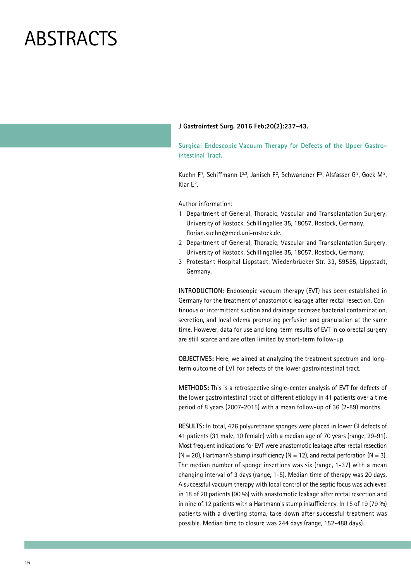#### **J Gastrointest Surg. 2016 Feb;20(2):237-43.**

**Surgical Endoscopic Vacuum Therapy for Defects of the Upper Gastrointestinal Tract.**

Kuehn F<sup>1</sup>, Schiffmann L<sup>2,3</sup>, Janisch F<sup>2</sup>, Schwandner F<sup>2</sup>, Alsfasser G<sup>2</sup>, Gock M<sup>2</sup>, Klar  $E^2$ .

Author information:

- 1 Department of General, Thoracic, Vascular and Transplantation Surgery, University of Rostock, Schillingallee 35, 18057, Rostock, Germany. florian.kuehn@med.uni-rostock.de.
- 2 Department of General, Thoracic, Vascular and Transplantation Surgery, University of Rostock, Schillingallee 35, 18057, Rostock, Germany.
- 3 Protestant Hospital Lippstadt, Wiedenbrücker Str. 33, 59555, Lippstadt, Germany.

**INTRODUCTION:** Endoscopic vacuum therapy (EVT) has been established in Germany for the treatment of anastomotic leakage after rectal resection. Continuous or intermittent suction and drainage decrease bacterial contamination, secretion, and local edema promoting perfusion and granulation at the same time. However, data for use and long-term results of EVT in colorectal surgery are still scarce and are often limited by short-term follow-up.

**OBJECTIVES:** Here, we aimed at analyzing the treatment spectrum and longterm outcome of EVT for defects of the lower gastrointestinal tract.

**METHODS:** This is a retrospective single-center analysis of EVT for defects of the lower gastrointestinal tract of different etiology in 41 patients over a time period of 8 years (2007-2015) with a mean follow-up of 36 (2-89) months.

**RESULTS:** In total, 426 polyurethane sponges were placed in lower GI defects of 41 patients (31 male, 10 female) with a median age of 70 years (range, 29-91). Most frequent indications for EVT were anastomotic leakage after rectal resection  $(N = 20)$ , Hartmann's stump insufficiency  $(N = 12)$ , and rectal perforation  $(N = 3)$ . The median number of sponge insertions was six (range, 1-37) with a mean changing interval of 3 days (range, 1-5). Median time of therapy was 20 days. A successful vacuum therapy with local control of the septic focus was achieved in 18 of 20 patients (90 %) with anastomotic leakage after rectal resection and in nine of 12 patients with a Hartmann's stump insufficiency. In 15 of 19 (79 %) patients with a diverting stoma, take-down after successful treatment was possible. Median time to closure was 244 days (range, 152-488 days).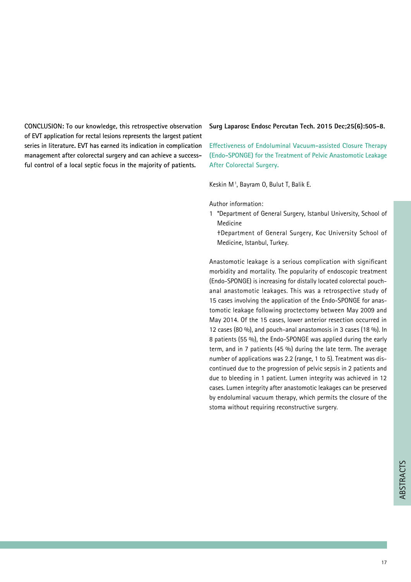**CONCLUSION: To our knowledge, this retrospective observation of EVT application for rectal lesions represents the largest patient series in literature. EVT has earned its indication in complication management after colorectal surgery and can achieve a successful control of a local septic focus in the majority of patients.**

#### **Surg Laparosc Endosc Percutan Tech. 2015 Dec;25(6):505-8.**

**Effectiveness of Endoluminal Vacuum-assisted Closure Therapy (Endo-SPONGE) for the Treatment of Pelvic Anastomotic Leakage After Colorectal Surgery.**

Keskin M1 , Bayram O, Bulut T, Balik E.

Author information:

- 1 \*Department of General Surgery, Istanbul University, School of Medicine
	- †Department of General Surgery, Koc University School of Medicine, Istanbul, Turkey.

Anastomotic leakage is a serious complication with significant morbidity and mortality. The popularity of endoscopic treatment (Endo-SPONGE) is increasing for distally located colorectal pouchanal anastomotic leakages. This was a retrospective study of 15 cases involving the application of the Endo-SPONGE for anastomotic leakage following proctectomy between May 2009 and May 2014. Of the 15 cases, lower anterior resection occurred in 12 cases (80 %), and pouch-anal anastomosis in 3 cases (18 %). In 8 patients (55 %), the Endo-SPONGE was applied during the early term, and in 7 patients (45 %) during the late term. The average number of applications was 2.2 (range, 1 to 5). Treatment was discontinued due to the progression of pelvic sepsis in 2 patients and due to bleeding in 1 patient. Lumen integrity was achieved in 12 cases. Lumen integrity after anastomotic leakages can be preserved by endoluminal vacuum therapy, which permits the closure of the stoma without requiring reconstructive surgery.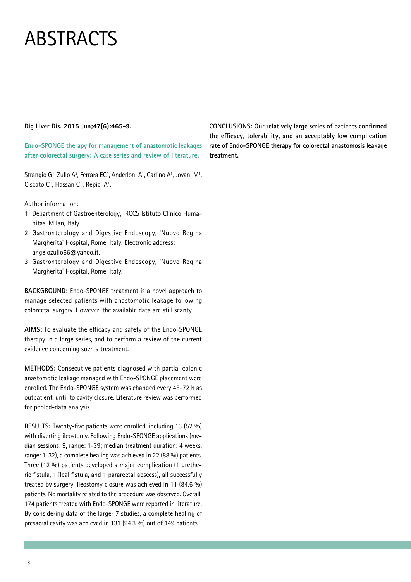#### **Dig Liver Dis. 2015 Jun;47(6):465-9.**

**Endo-SPONGE therapy for management of anastomotic leakages after colorectal surgery: A case series and review of literature.**

Strangio G<sup>1</sup>, Zullo A<sup>2</sup>, Ferrara EC<sup>1</sup>, Anderloni A<sup>1</sup>, Carlino A<sup>1</sup>, Jovani M<sup>1</sup>, Ciscato C<sup>1</sup>, Hassan C<sup>3</sup>, Repici A<sup>1</sup>.

Author information:

- 1 Department of Gastroenterology, IRCCS Istituto Clinico Humanitas, Milan, Italy.
- 2 Gastronterology and Digestive Endoscopy, 'Nuovo Regina Margherita' Hospital, Rome, Italy. Electronic address: angelozullo66@yahoo.it.
- 3 Gastronterology and Digestive Endoscopy, 'Nuovo Regina Margherita' Hospital, Rome, Italy.

**BACKGROUND:** Endo-SPONGE treatment is a novel approach to manage selected patients with anastomotic leakage following colorectal surgery. However, the available data are still scanty.

**AIMS:** To evaluate the efficacy and safety of the Endo-SPONGE therapy in a large series, and to perform a review of the current evidence concerning such a treatment.

**METHODS:** Consecutive patients diagnosed with partial colonic anastomotic leakage managed with Endo-SPONGE placement were enrolled. The Endo-SPONGE system was changed every 48-72 h as outpatient, until to cavity closure. Literature review was performed for pooled-data analysis.

**RESULTS:** Twenty-five patients were enrolled, including 13 (52 %) with diverting ileostomy. Following Endo-SPONGE applications (median sessions: 9, range: 1-39; median treatment duration: 4 weeks, range: 1-32), a complete healing was achieved in 22 (88 %) patients. Three (12 %) patients developed a major complication (1 uretheric fistula, 1 ileal fistula, and 1 pararectal abscess), all successfully treated by surgery. Ileostomy closure was achieved in 11 (84.6 %) patients. No mortality related to the procedure was observed. Overall, 174 patients treated with Endo-SPONGE were reported in literature. By considering data of the larger 7 studies, a complete healing of presacral cavity was achieved in 131 (94.3 %) out of 149 patients.

**CONCLUSIONS: Our relatively large series of patients confirmed the efficacy, tolerability, and an acceptably low complication rate of Endo-SPONGE therapy for colorectal anastomosis leakage treatment.**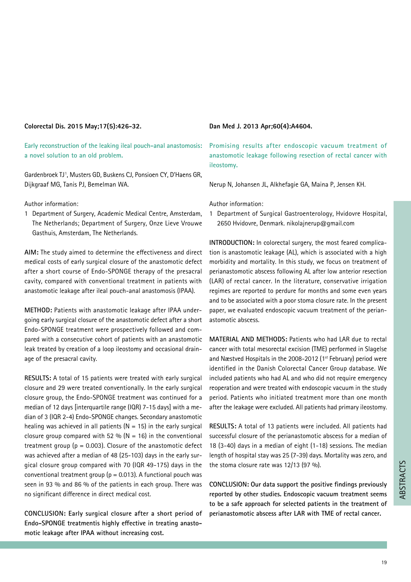#### **Colorectal Dis. 2015 May;17(5):426-32.**

**Early reconstruction of the leaking ileal pouch-anal anastomosis: a novel solution to an old problem.**

Gardenbroek TJ1 , Musters GD, Buskens CJ, Ponsioen CY, D'Haens GR, Dijkgraaf MG, Tanis PJ, Bemelman WA.

Author information:

1 Department of Surgery, Academic Medical Centre, Amsterdam, The Netherlands; Department of Surgery, Onze Lieve Vrouwe Gasthuis, Amsterdam, The Netherlands.

**AIM:** The study aimed to determine the effectiveness and direct medical costs of early surgical closure of the anastomotic defect after a short course of Endo-SPONGE therapy of the presacral cavity, compared with conventional treatment in patients with anastomotic leakage after ileal pouch-anal anastomosis (IPAA).

**METHOD:** Patients with anastomotic leakage after IPAA undergoing early surgical closure of the anastomotic defect after a short Endo-SPONGE treatment were prospectively followed and compared with a consecutive cohort of patients with an anastomotic leak treated by creation of a loop ileostomy and occasional drainage of the presacral cavity.

**RESULTS:** A total of 15 patients were treated with early surgical closure and 29 were treated conventionally. In the early surgical closure group, the Endo-SPONGE treatment was continued for a median of 12 days [interquartile range (IQR) 7-15 days] with a median of 3 (IQR 2-4) Endo-SPONGE changes. Secondary anastomotic healing was achieved in all patients  $(N = 15)$  in the early surgical closure group compared with 52 % ( $N = 16$ ) in the conventional treatment group ( $p = 0.003$ ). Closure of the anastomotic defect was achieved after a median of 48 (25-103) days in the early surgical closure group compared with 70 (IQR 49-175) days in the conventional treatment group ( $p = 0.013$ ). A functional pouch was seen in 93 % and 86 % of the patients in each group. There was no significant difference in direct medical cost.

**CONCLUSION: Early surgical closure after a short period of Endo-SPONGE treatmentis highly effective in treating anastomotic leakage after IPAA without increasing cost.**

#### **Dan Med J. 2013 Apr;60(4):A4604.**

**Promising results after endoscopic vacuum treatment of anastomotic leakage following resection of rectal cancer with ileostomy.**

Nerup N, Johansen JL, Alkhefagie GA, Maina P, Jensen KH.

Author information:

1 Department of Surgical Gastroenterology, Hvidovre Hospital, 2650 Hvidovre, Denmark. nikolajnerup@gmail.com

**INTRODUCTION:** In colorectal surgery, the most feared complication is anastomotic leakage (AL), which is associated with a high morbidity and mortality. In this study, we focus on treatment of perianastomotic abscess following AL after low anterior resection (LAR) of rectal cancer. In the literature, conservative irrigation regimes are reported to perdure for months and some even years and to be associated with a poor stoma closure rate. In the present paper, we evaluated endoscopic vacuum treatment of the perianastomotic abscess.

**MATERIAL AND METHODS:** Patients who had LAR due to rectal cancer with total mesorectal excision (TME) performed in Slagelse and Næstved Hospitals in the 2008-2012 ( $1<sup>st</sup>$  February) period were identified in the Danish Colorectal Cancer Group database. We included patients who had AL and who did not require emergency reoperation and were treated with endoscopic vacuum in the study period. Patients who initiated treatment more than one month after the leakage were excluded. All patients had primary ileostomy.

**RESULTS:** A total of 13 patients were included. All patients had successful closure of the perianastomotic abscess for a median of 18 (3-40) days in a median of eight (1-18) sessions. The median length of hospital stay was 25 (7-39) days. Mortality was zero, and the stoma closure rate was 12/13 (97 %).

**CONCLUSION: Our data support the positive findings previously reported by other studies. Endoscopic vacuum treatment seems to be a safe approach for selected patients in the treatment of perianastomotic abscess after LAR with TME of rectal cancer.**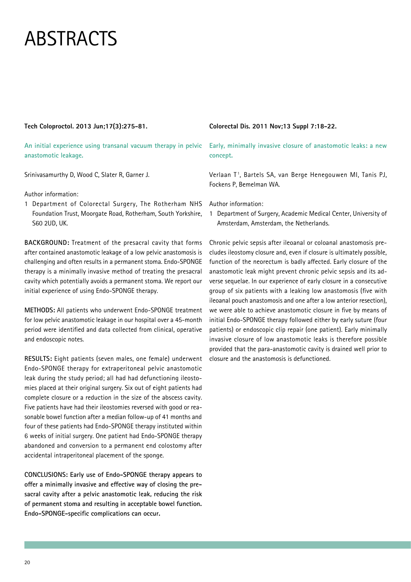#### **Tech Coloproctol. 2013 Jun;17(3):275-81.**

**An initial experience using transanal vacuum therapy in pelvic anastomotic leakage.**

Srinivasamurthy D, Wood C, Slater R, Garner J.

Author information:

1 Department of Colorectal Surgery, The Rotherham NHS Foundation Trust, Moorgate Road, Rotherham, South Yorkshire, S60 2UD, UK.

**BACKGROUND:** Treatment of the presacral cavity that forms after contained anastomotic leakage of a low pelvic anastomosis is challenging and often results in a permanent stoma. Endo-SPONGE therapy is a minimally invasive method of treating the presacral cavity which potentially avoids a permanent stoma. We report our initial experience of using Endo-SPONGE therapy.

**METHODS:** All patients who underwent Endo-SPONGE treatment for low pelvic anastomotic leakage in our hospital over a 45-month period were identified and data collected from clinical, operative and endoscopic notes.

**RESULTS:** Eight patients (seven males, one female) underwent Endo-SPONGE therapy for extraperitoneal pelvic anastomotic leak during the study period; all had had defunctioning ileostomies placed at their original surgery. Six out of eight patients had complete closure or a reduction in the size of the abscess cavity. Five patients have had their ileostomies reversed with good or reasonable bowel function after a median follow-up of 41 months and four of these patients had Endo-SPONGE therapy instituted within 6 weeks of initial surgery. One patient had Endo-SPONGE therapy abandoned and conversion to a permanent end colostomy after accidental intraperitoneal placement of the sponge.

**CONCLUSIONS: Early use of Endo-SPONGE therapy appears to offer a minimally invasive and effective way of closing the presacral cavity after a pelvic anastomotic leak, reducing the risk of permanent stoma and resulting in acceptable bowel function. Endo-SPONGE-specific complications can occur.**

#### **Colorectal Dis. 2011 Nov;13 Suppl 7:18-22.**

**Early, minimally invasive closure of anastomotic leaks: a new concept.**

Verlaan T1, Bartels SA, van Berge Henegouwen MI, Tanis PJ, Fockens P, Bemelman WA.

Author information:

1 Department of Surgery, Academic Medical Center, University of Amsterdam, Amsterdam, the Netherlands.

Chronic pelvic sepsis after ileoanal or coloanal anastomosis precludes ileostomy closure and, even if closure is ultimately possible, function of the neorectum is badly affected. Early closure of the anastomotic leak might prevent chronic pelvic sepsis and its adverse sequelae. In our experience of early closure in a consecutive group of six patients with a leaking low anastomosis (five with ileoanal pouch anastomosis and one after a low anterior resection), we were able to achieve anastomotic closure in five by means of initial Endo-SPONGE therapy followed either by early suture (four patients) or endoscopic clip repair (one patient). Early minimally invasive closure of low anastomotic leaks is therefore possible provided that the para-anastomotic cavity is drained well prior to closure and the anastomosis is defunctioned.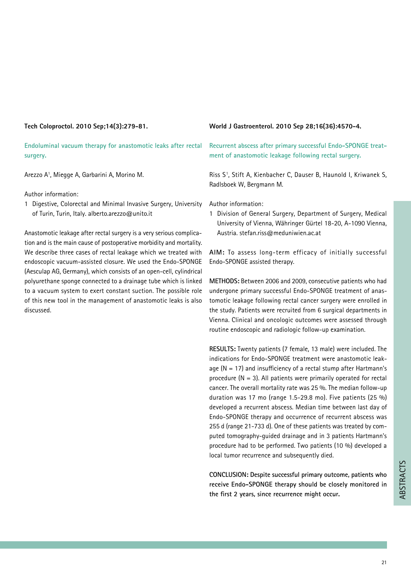#### **Tech Coloproctol. 2010 Sep;14(3):279-81.**

**Endoluminal vacuum therapy for anastomotic leaks after rectal surgery.**

Arezzo A1 , Miegge A, Garbarini A, Morino M.

Author information:

1 Digestive, Colorectal and Minimal Invasive Surgery, University of Turin, Turin, Italy. alberto.arezzo@unito.it

Anastomotic leakage after rectal surgery is a very serious complication and is the main cause of postoperative morbidity and mortality. We describe three cases of rectal leakage which we treated with endoscopic vacuum-assisted closure. We used the Endo-SPONGE (Aesculap AG, Germany), which consists of an open-cell, cylindrical polyurethane sponge connected to a drainage tube which is linked to a vacuum system to exert constant suction. The possible role of this new tool in the management of anastomotic leaks is also discussed.

#### **World J Gastroenterol. 2010 Sep 28;16(36):4570-4.**

**Recurrent abscess after primary successful Endo-SPONGE treatment of anastomotic leakage following rectal surgery.**

Riss S1 , Stift A, Kienbacher C, Dauser B, Haunold I, Kriwanek S, Radlsboek W, Bergmann M.

Author information:

1 Division of General Surgery, Department of Surgery, Medical University of Vienna, Währinger Gürtel 18-20, A-1090 Vienna, Austria. stefan.riss@meduniwien.ac.at

**AIM:** To assess long-term efficacy of initially successful Endo-SPONGE assisted therapy.

**METHODS:** Between 2006 and 2009, consecutive patients who had undergone primary successful Endo-SPONGE treatment of anastomotic leakage following rectal cancer surgery were enrolled in the study. Patients were recruited from 6 surgical departments in Vienna. Clinical and oncologic outcomes were assessed through routine endoscopic and radiologic follow-up examination.

**RESULTS:** Twenty patients (7 female, 13 male) were included. The indications for Endo-SPONGE treatment were anastomotic leakage  $(N = 17)$  and insufficiency of a rectal stump after Hartmann's procedure  $(N = 3)$ . All patients were primarily operated for rectal cancer. The overall mortality rate was 25 %. The median follow-up duration was 17 mo (range 1.5-29.8 mo). Five patients (25 %) developed a recurrent abscess. Median time between last day of Endo-SPONGE therapy and occurrence of recurrent abscess was 255 d (range 21-733 d). One of these patients was treated by computed tomography-guided drainage and in 3 patients Hartmann's procedure had to be performed. Two patients (10 %) developed a local tumor recurrence and subsequently died.

**CONCLUSION: Despite successful primary outcome, patients who receive Endo-SPONGE therapy should be closely monitored in CONCLUSION: Despite successful primary outcome, patients who**<br>receive Endo-SPONGE therapy should be closely monitored in<br>the first 2 years, since recurrence might occur.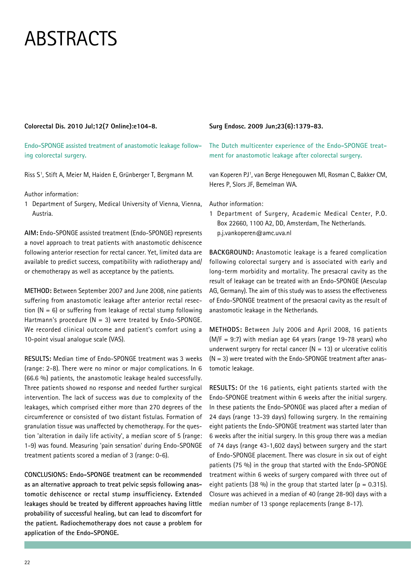#### **Colorectal Dis. 2010 Jul;12(7 Online):e104-8.**

**Endo-SPONGE assisted treatment of anastomotic leakage following colorectal surgery.**

Riss S1 , Stift A, Meier M, Haiden E, Grünberger T, Bergmann M.

Author information:

1 Department of Surgery, Medical University of Vienna, Vienna, Austria.

**AIM:** Endo-SPONGE assisted treatment (Endo-SPONGE) represents a novel approach to treat patients with anastomotic dehiscence following anterior resection for rectal cancer. Yet, limited data are available to predict success, compatibility with radiotherapy and/ or chemotherapy as well as acceptance by the patients.

**METHOD:** Between September 2007 and June 2008, nine patients suffering from anastomotic leakage after anterior rectal resection  $(N = 6)$  or suffering from leakage of rectal stump following Hartmann's procedure  $(N = 3)$  were treated by Endo-SPONGE. We recorded clinical outcome and patient's comfort using a 10-point visual analogue scale (VAS).

**RESULTS:** Median time of Endo-SPONGE treatment was 3 weeks (range: 2-8). There were no minor or major complications. In 6 (66.6 %) patients, the anastomotic leakage healed successfully. Three patients showed no response and needed further surgical intervention. The lack of success was due to complexity of the leakages, which comprised either more than 270 degrees of the circumference or consisted of two distant fistulas. Formation of granulation tissue was unaffected by chemotherapy. For the question 'alteration in daily life activity', a median score of 5 (range: 1-9) was found. Measuring 'pain sensation' during Endo-SPONGE treatment patients scored a median of 3 (range: 0-6).

**CONCLUSIONS: Endo-SPONGE treatment can be recommended as an alternative approach to treat pelvic sepsis following anastomotic dehiscence or rectal stump insufficiency. Extended leakages should be treated by different approaches having little probability of successful healing, but can lead to discomfort for the patient. Radiochemotherapy does not cause a problem for application of the Endo-SPONGE.**

#### **Surg Endosc. 2009 Jun;23(6):1379-83.**

**The Dutch multicenter experience of the Endo-SPONGE treatment for anastomotic leakage after colorectal surgery.**

van Koperen PJ1 , van Berge Henegouwen MI, Rosman C, Bakker CM, Heres P, Slors JF, Bemelman WA.

Author information:

1 Department of Surgery, Academic Medical Center, P.O. Box 22660, 1100 A2, DD, Amsterdam, The Netherlands. p.j.vankoperen@amc.uva.nl

**BACKGROUND:** Anastomotic leakage is a feared complication following colorectal surgery and is associated with early and long-term morbidity and mortality. The presacral cavity as the result of leakage can be treated with an Endo-SPONGE (Aesculap AG, Germany). The aim of this study was to assess the effectiveness of Endo-SPONGE treatment of the presacral cavity as the result of anastomotic leakage in the Netherlands.

**METHODS:** Between July 2006 and April 2008, 16 patients  $(M/F = 9:7)$  with median age 64 years (range 19-78 years) who underwent surgery for rectal cancer  $(N = 13)$  or ulcerative colitis  $(N = 3)$  were treated with the Endo-SPONGE treatment after anastomotic leakage.

**RESULTS:** Of the 16 patients, eight patients started with the Endo-SPONGE treatment within 6 weeks after the initial surgery. In these patients the Endo-SPONGE was placed after a median of 24 days (range 13-39 days) following surgery. In the remaining eight patients the Endo-SPONGE treatment was started later than 6 weeks after the initial surgery. In this group there was a median of 74 days (range 43-1,602 days) between surgery and the start of Endo-SPONGE placement. There was closure in six out of eight patients (75 %) in the group that started with the Endo-SPONGE treatment within 6 weeks of surgery compared with three out of eight patients (38 %) in the group that started later ( $p = 0.315$ ). Closure was achieved in a median of 40 (range 28-90) days with a median number of 13 sponge replacements (range 8-17).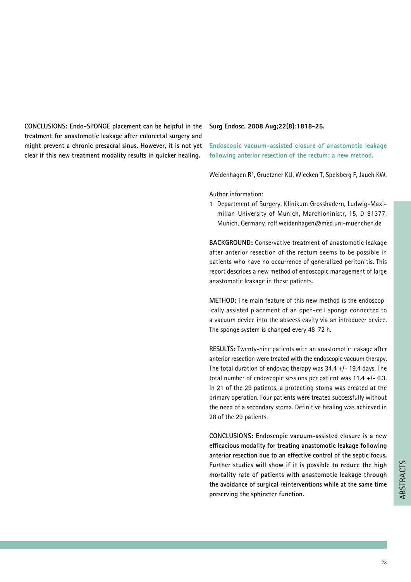**CONCLUSIONS: Endo-SPONGE placement can be helpful in the treatment for anastomotic leakage after colorectal surgery and might prevent a chronic presacral sinus. However, it is not yet clear if this new treatment modality results in quicker healing.**

#### **Surg Endosc. 2008 Aug;22(8):1818-25.**

**Endoscopic vacuum-assisted closure of anastomotic leakage following anterior resection of the rectum: a new method.**

Weidenhagen R<sup>1</sup>, Gruetzner KU, Wiecken T, Spelsberg F, Jauch KW.

Author information:

1 Department of Surgery, Klinikum Grosshadern, Ludwig-Maximilian-University of Munich, Marchioninistr, 15, D-81377, Munich, Germany. rolf.weidenhagen@med.uni-muenchen.de

**BACKGROUND:** Conservative treatment of anastomotic leakage after anterior resection of the rectum seems to be possible in patients who have no occurrence of generalized peritonitis. This report describes a new method of endoscopic management of large anastomotic leakage in these patients.

**METHOD:** The main feature of this new method is the endoscopically assisted placement of an open-cell sponge connected to a vacuum device into the abscess cavity via an introducer device. The sponge system is changed every 48-72 h.

**RESULTS:** Twenty-nine patients with an anastomotic leakage after anterior resection were treated with the endoscopic vacuum therapy. The total duration of endovac therapy was  $34.4 +$   $-$  19.4 days. The total number of endoscopic sessions per patient was 11.4 +/- 6.3. In 21 of the 29 patients, a protecting stoma was created at the primary operation. Four patients were treated successfully without the need of a secondary stoma. Definitive healing was achieved in 28 of the 29 patients.

**CONCLUSIONS: Endoscopic vacuum-assisted closure is a new efficacious modality for treating anastomotic leakage following anterior resection due to an effective control of the septic focus. Further studies will show if it is possible to reduce the high mortality rate of patients with anastomotic leakage through the avoidance of surgical reinterventions while at the same time**  mortality rate of patients with anastomotic leakage through<br>the avoidance of surgical reinterventions while at the same time<br>preserving the sphincter function.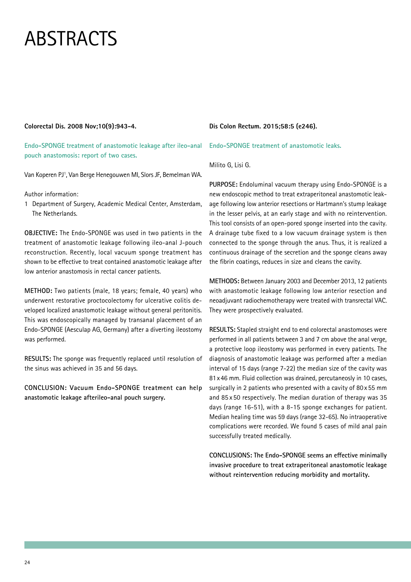#### **Colorectal Dis. 2008 Nov;10(9):943-4.**

**Endo-SPONGE treatment of anastomotic leakage after ileo-anal pouch anastomosis: report of two cases.**

Van Koperen PJ1 , Van Berge Henegouwen MI, Slors JF, Bemelman WA.

Author information:

1 Department of Surgery, Academic Medical Center, Amsterdam, The Netherlands.

**OBJECTIVE:** The Endo-SPONGE was used in two patients in the treatment of anastomotic leakage following ileo-anal J-pouch reconstruction. Recently, local vacuum sponge treatment has shown to be effective to treat contained anastomotic leakage after low anterior anastomosis in rectal cancer patients.

**METHOD:** Two patients (male, 18 years; female, 40 years) who underwent restorative proctocolectomy for ulcerative colitis developed localized anastomotic leakage without general peritonitis. This was endoscopically managed by transanal placement of an Endo-SPONGE (Aesculap AG, Germany) after a diverting ileostomy was performed.

**RESULTS:** The sponge was frequently replaced until resolution of the sinus was achieved in 35 and 56 days.

**CONCLUSION: Vacuum Endo-SPONGE treatment can help anastomotic leakage afterileo-anal pouch surgery.**

#### **Dis Colon Rectum. 2015;58:5 (e246).**

**Endo-SPONGE treatment of anastomotic leaks.**

#### Milito G, Lisi G.

**PURPOSE:** Endoluminal vacuum therapy using Endo-SPONGE is a new endoscopic method to treat extraperitoneal anastomotic leakage following low anterior resections or Hartmann's stump leakage in the lesser pelvis, at an early stage and with no reintervention. This tool consists of an open-pored sponge inserted into the cavity. A drainage tube fixed to a low vacuum drainage system is then connected to the sponge through the anus. Thus, it is realized a continuous drainage of the secretion and the sponge cleans away the fibrin coatings, reduces in size and cleans the cavity.

**METHODS:** Between January 2003 and December 2013, 12 patients with anastomotic leakage following low anterior resection and neoadjuvant radiochemotherapy were treated with transrectal VAC. They were prospectively evaluated.

**RESULTS:** Stapled straight end to end colorectal anastomoses were performed in all patients between 3 and 7 cm above the anal verge, a protective loop ileostomy was performed in every patients. The diagnosis of anastomotic leakage was performed after a median interval of 15 days (range 7-22) the median size of the cavity was 81x46 mm. Fluid collection was drained, percutaneosly in 10 cases, surgically in 2 patients who presented with a cavity of 80x 55 mm and 85 x 50 respectively. The median duration of therapy was 35 days (range 16-51), with a 8-15 sponge exchanges for patient. Median healing time was 59 days (range 32-65). No intraoperative complications were recorded. We found 5 cases of mild anal pain successfully treated medically.

**CONCLUSIONS: The Endo-SPONGE seems an effective minimally invasive procedure to treat extraperitoneal anastomotic leakage without reintervention reducing morbidity and mortality.**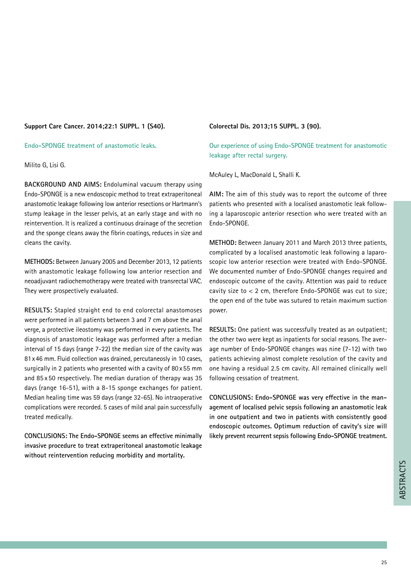#### **Support Care Cancer. 2014;22:1 SUPPL. 1 (S40).**

**Endo-SPONGE treatment of anastomotic leaks.**

Milito G, Lisi G.

**BACKGROUND AND AIMS:** Endoluminal vacuum therapy using Endo-SPONGE is a new endoscopic method to treat extraperitoneal anastomotic leakage following low anterior resections or Hartmann's stump leakage in the lesser pelvis, at an early stage and with no reintervention. It is realized a continuous drainage of the secretion and the sponge cleans away the fibrin coatings, reduces in size and cleans the cavity.

**METHODS:** Between January 2005 and December 2013, 12 patients with anastomotic leakage following low anterior resection and neoadjuvant radiochemotherapy were treated with transrectal VAC. They were prospectively evaluated.

**RESULTS:** Stapled straight end to end colorectal anastomoses were performed in all patients between 3 and 7 cm above the anal verge, a protective ileostomy was performed in every patients. The diagnosis of anastomotic leakage was performed after a median interval of 15 days (range 7-22) the median size of the cavity was 81x46 mm. Fluid collection was drained, percutaneosly in 10 cases, surgically in 2 patients who presented with a cavity of 80x 55 mm and 85 x 50 respectively. The median duration of therapy was 35 days (range 16-51), with a 8-15 sponge exchanges for patient. Median healing time was 59 days (range 32-65). No intraoperative complications were recorded. 5 cases of mild anal pain successfully treated medically.

**CONCLUSIONS: The Endo-SPONGE seems an effective minimally invasive procedure to treat extraperitoneal anastomotic leakage without reintervention reducing morbidity and mortality.** 

#### **Colorectal Dis. 2013;15 SUPPL. 3 (90).**

**Our experience of using Endo-SPONGE treatment for anastomotic leakage after rectal surgery.**

McAuley L, MacDonald L, Shalli K.

**AIM:** The aim of this study was to report the outcome of three patients who presented with a localised anastomotic leak following a laparoscopic anterior resection who were treated with an Endo-SPONGE.

**METHOD:** Between January 2011 and March 2013 three patients, complicated by a localised anastomotic leak following a laparoscopic low anterior resection were treated with Endo-SPONGE. We documented number of Endo-SPONGE changes required and endoscopic outcome of the cavity. Attention was paid to reduce cavity size to < 2 cm, therefore Endo-SPONGE was cut to size; the open end of the tube was sutured to retain maximum suction power.

**RESULTS:** One patient was successfully treated as an outpatient; the other two were kept as inpatients for social reasons. The average number of Endo-SPONGE changes was nine (7-12) with two patients achieving almost complete resolution of the cavity and one having a residual 2.5 cm cavity. All remained clinically well following cessation of treatment.

**CONCLUSIONS: Endo-SPONGE was very effective in the management of localised pelvic sepsis following an anastomotic leak in one outpatient and two in patients with consistently good endoscopic outcomes. Optimum reduction of cavity's size will likely prevent recurrent sepsis following Endo-SPONGE treatment.**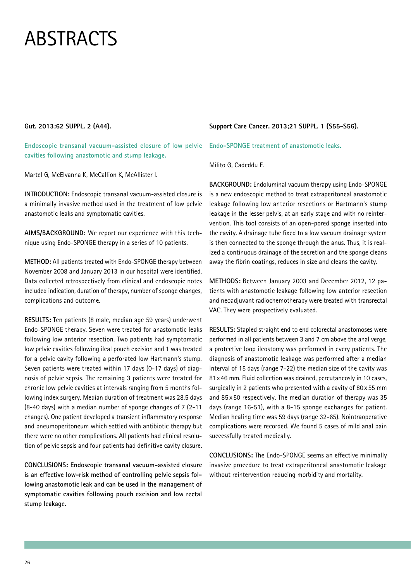#### **Gut. 2013;62 SUPPL. 2 (A44).**

**Endoscopic transanal vacuum-assisted closure of low pelvic cavities following anastomotic and stump leakage.**

Martel G, McElvanna K, McCallion K, McAllister I.

**INTRODUCTION:** Endoscopic transanal vacuum-assisted closure is a minimally invasive method used in the treatment of low pelvic anastomotic leaks and symptomatic cavities.

**AIMS/BACKGROUND:** We report our experience with this technique using Endo-SPONGE therapy in a series of 10 patients.

**METHOD:** All patients treated with Endo-SPONGE therapy between November 2008 and January 2013 in our hospital were identified. Data collected retrospectively from clinical and endoscopic notes included indication, duration of therapy, number of sponge changes, complications and outcome.

**RESULTS:** Ten patients (8 male, median age 59 years) underwent Endo-SPONGE therapy. Seven were treated for anastomotic leaks following low anterior resection. Two patients had symptomatic low pelvic cavities following ileal pouch excision and 1 was treated for a pelvic cavity following a perforated low Hartmann's stump. Seven patients were treated within 17 days (0-17 days) of diagnosis of pelvic sepsis. The remaining 3 patients were treated for chronic low pelvic cavities at intervals ranging from 5 months following index surgery. Median duration of treatment was 28.5 days (8-40 days) with a median number of sponge changes of 7 (2-11 changes). One patient developed a transient inflammatory response and pneumoperitoneum which settled with antibiotic therapy but there were no other complications. All patients had clinical resolution of pelvic sepsis and four patients had definitive cavity closure.

**CONCLUSIONS: Endoscopic transanal vacuum-assisted closure is an effective low-risk method of controlling pelvic sepsis following anastomotic leak and can be used in the management of symptomatic cavities following pouch excision and low rectal stump leakage.**

#### **Support Care Cancer. 2013;21 SUPPL. 1 (S55-S56).**

**Endo-SPONGE treatment of anastomotic leaks.**

Milito G, Cadeddu F.

**BACKGROUND:** Endoluminal vacuum therapy using Endo-SPONGE is a new endoscopic method to treat extraperitoneal anastomotic leakage following low anterior resections or Hartmann's stump leakage in the lesser pelvis, at an early stage and with no reintervention. This tool consists of an open-pored sponge inserted into the cavity. A drainage tube fixed to a low vacuum drainage system is then connected to the sponge through the anus. Thus, it is realized a continuous drainage of the secretion and the sponge cleans away the fibrin coatings, reduces in size and cleans the cavity.

**METHODS:** Between January 2003 and December 2012, 12 patients with anastomotic leakage following low anterior resection and neoadjuvant radiochemotherapy were treated with transrectal VAC. They were prospectively evaluated.

**RESULTS:** Stapled straight end to end colorectal anastomoses were performed in all patients between 3 and 7 cm above the anal verge, a protective loop ileostomy was performed in every patients. The diagnosis of anastomotic leakage was performed after a median interval of 15 days (range 7-22) the median size of the cavity was 81x46 mm. Fluid collection was drained, percutaneosly in 10 cases, surgically in 2 patients who presented with a cavity of 80x 55 mm and 85 x 50 respectively. The median duration of therapy was 35 days (range 16-51), with a 8-15 sponge exchanges for patient. Median healing time was 59 days (range 32-65). Nointraoperative complications were recorded. We found 5 cases of mild anal pain successfully treated medically.

**CONCLUSIONS:** The Endo-SPONGE seems an effective minimally invasive procedure to treat extraperitoneal anastomotic leakage without reintervention reducing morbidity and mortality.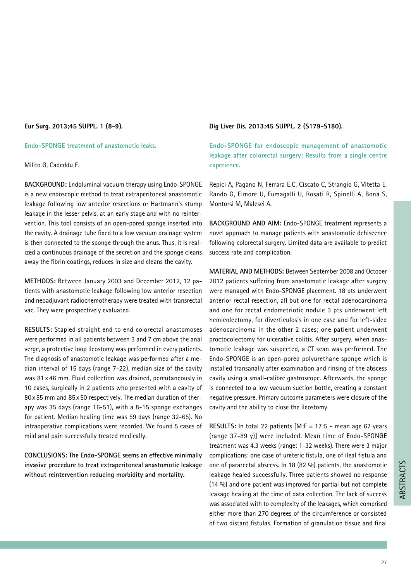#### **Eur Surg. 2013;45 SUPPL. 1 (8-9).**

**Endo-SPONGE treatment of anastomotic leaks.**

Milito G, Cadeddu F.

**BACKGROUND:** Endoluminal vacuum therapy using Endo-SPONGE is a new endoscopic method to treat extraperitoneal anastomotic leakage following low anterior resections or Hartmann's stump leakage in the lesser pelvis, at an early stage and with no reintervention. This tool consists of an open-pored sponge inserted into the cavity. A drainage tube fixed to a low vacuum drainage system is then connected to the sponge through the anus. Thus, it is realized a continuous drainage of the secretion and the sponge cleans away the fibrin coatings, reduces in size and cleans the cavity.

**METHODS:** Between January 2003 and December 2012, 12 patients with anastomotic leakage following low anterior resection and neoadjuvant radiochemotherapy were treated with transrectal vac. They were prospectively evaluated.

**RESULTS:** Stapled straight end to end colorectal anastomoses were performed in all patients between 3 and 7 cm above the anal verge, a protective loop ileostomy was performed in every patients. The diagnosis of anastomotic leakage was performed after a median interval of 15 days (range 7-22), median size of the cavity was 81 x 46 mm. Fluid collection was drained, percutaneously in 10 cases, surgically in 2 patients who presented with a cavity of 80x55 mm and 85 x50 respectively. The median duration of therapy was 35 days (range 16-51), with a 8-15 sponge exchanges for patient. Median healing time was 59 days (range 32-65). No intraoperative complications were recorded. We found 5 cases of mild anal pain successfully treated medically.

**CONCLUSIONS: The Endo-SPONGE seems an effective minimally invasive procedure to treat extraperitoneal anastomotic leakage without reintervention reducing morbidity and mortality.**

#### **Dig Liver Dis. 2013;45 SUPPL. 2 (S179-S180).**

**Endo-SPONGE for endoscopic management of anastomotic leakage after colorectal surgery: Results from a single centre experience.**

Repici A, Pagano N, Ferrara E.C, Ciscato C, Strangio G, Vitetta E, Rando G, Elmore U, Fumagalli U, Rosati R, Spinelli A, Bona S, Montorsi M, Malesci A.

**BACKGROUND AND AIM:** Endo-SPONGE treatment represents a novel approach to manage patients with anastomotic dehiscence following colorectal surgery. Limited data are available to predict success rate and complication.

**MATERIAL AND METHODS:** Between September 2008 and October 2012 patients suffering from anastomotic leakage after surgery were managed with Endo-SPONGE placement. 18 pts underwent anterior rectal resection, all but one for rectal adenocarcinoma and one for rectal endometriotic nodule 3 pts underwent left hemicolectomy, for diverticulosis in one case and for left-sided adenocarcinoma in the other 2 cases; one patient underwent proctocolectomy for ulcerative colitis. After surgery, when anastomotic leakage was suspected, a CT scan was performed. The Endo-SPONGE is an open-pored polyurethane sponge which is installed transanally after examination and rinsing of the abscess cavity using a small-calibre gastroscope. Afterwards, the sponge is connected to a low vacuum suction bottle, creating a constant negative pressure. Primary outcome parameters were closure of the cavity and the ability to close the ileostomy.

**RESULTS:** In total 22 patients [M:F = 17:5 – mean age 67 years (range 37-89 y)] were included. Mean time of Endo-SPONGE treatment was 4.3 weeks (range: 1-32 weeks). There were 3 major complications: one case of ureteric fistula, one of ileal fistula and one of pararectal abscess. In 18 (82 %) patients, the anastomotic leakage healed successfully. Three patients showed no response (14 %) and one patient was improved for partial but not complete leakage healing at the time of data collection. The lack of success was associated with to complexity of the leakages, which comprised either more than 270 degrees of the circumference or consisted of two distant fistulas. Formation of granulation tissue and final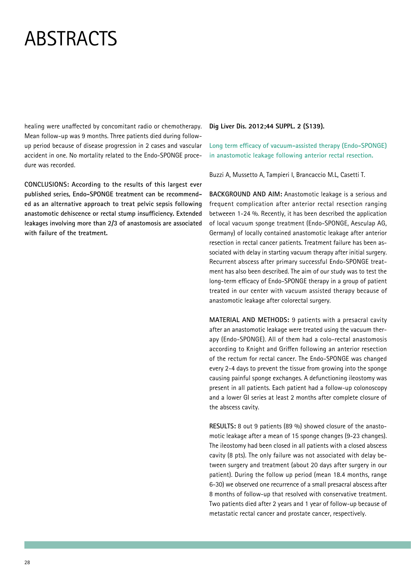healing were unaffected by concomitant radio or chemotherapy. Mean follow-up was 9 months. Three patients died during followup period because of disease progression in 2 cases and vascular accident in one. No mortality related to the Endo-SPONGE procedure was recorded.

**CONCLUSIONS: According to the results of this largest ever published series, Endo-SPONGE treatment can be recommended as an alternative approach to treat pelvic sepsis following anastomotic dehiscence or rectal stump insufficiency. Extended leakages involving more than 2/3 of anastomosis are associated with failure of the treatment.**

#### **Dig Liver Dis. 2012;44 SUPPL. 2 (S139).**

**Long term efficacy of vacuum-assisted therapy (Endo-SPONGE) in anastomotic leakage following anterior rectal resection.**

Buzzi A, Mussetto A, Tampieri I, Brancaccio M.L, Casetti T.

**BACKGROUND AND AIM:** Anastomotic leakage is a serious and frequent complication after anterior rectal resection ranging betweeen 1-24 %. Recently, it has been described the application of local vacuum sponge treatment (Endo-SPONGE, Aesculap AG, Germany) of locally contained anastomotic leakage after anterior resection in rectal cancer patients. Treatment failure has been associated with delay in starting vacuum therapy after initial surgery. Recurrent abscess after primary successful Endo-SPONGE treatment has also been described. The aim of our study was to test the long-term efficacy of Endo-SPONGE therapy in a group of patient treated in our center with vacuum assisted therapy because of anastomotic leakage after colorectal surgery.

**MATERIAL AND METHODS:** 9 patients with a presacral cavity after an anastomotic leakage were treated using the vacuum therapy (Endo-SPONGE). All of them had a colo-rectal anastomosis according to Knight and Griffen following an anterior resection of the rectum for rectal cancer. The Endo-SPONGE was changed every 2-4 days to prevent the tissue from growing into the sponge causing painful sponge exchanges. A defunctioning ileostomy was present in all patients. Each patient had a follow-up colonoscopy and a lower GI series at least 2 months after complete closure of the abscess cavity.

**RESULTS:** 8 out 9 patients (89 %) showed closure of the anastomotic leakage after a mean of 15 sponge changes (9-23 changes). The ileostomy had been closed in all patients with a closed abscess cavity (8 pts). The only failure was not associated with delay between surgery and treatment (about 20 days after surgery in our patient). During the follow up period (mean 18.4 months, range 6-30) we observed one recurrence of a small presacral abscess after 8 months of follow-up that resolved with conservative treatment. Two patients died after 2 years and 1 year of follow-up because of metastatic rectal cancer and prostate cancer, respectively.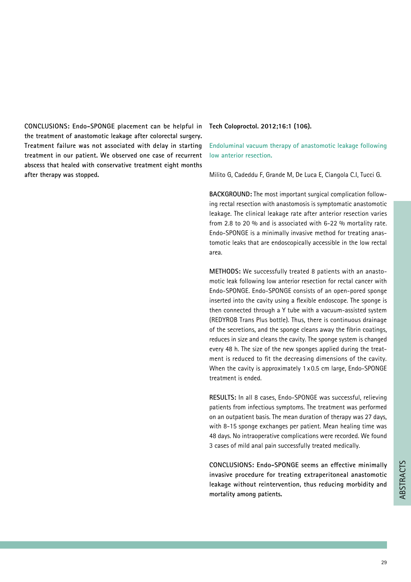**CONCLUSIONS: Endo-SPONGE placement can be helpful in the treatment of anastomotic leakage after colorectal surgery. Treatment failure was not associated with delay in starting treatment in our patient. We observed one case of recurrent abscess that healed with conservative treatment eight months after therapy was stopped.**

#### **Tech Coloproctol. 2012;16:1 (106).**

**Endoluminal vacuum therapy of anastomotic leakage following low anterior resection.**

Milito G, Cadeddu F, Grande M, De Luca E, Ciangola C.I, Tucci G.

**BACKGROUND:** The most important surgical complication following rectal resection with anastomosis is symptomatic anastomotic leakage. The clinical leakage rate after anterior resection varies from 2.8 to 20 % and is associated with 6-22 % mortality rate. Endo-SPONGE is a minimally invasive method for treating anastomotic leaks that are endoscopically accessible in the low rectal area.

**METHODS:** We successfully treated 8 patients with an anastomotic leak following low anterior resection for rectal cancer with Endo-SPONGE. Endo-SPONGE consists of an open-pored sponge inserted into the cavity using a flexible endoscope. The sponge is then connected through a Y tube with a vacuum-assisted system (REDYROB Trans Plus bottle). Thus, there is continuous drainage of the secretions, and the sponge cleans away the fibrin coatings, reduces in size and cleans the cavity. The sponge system is changed every 48 h. The size of the new sponges applied during the treatment is reduced to fit the decreasing dimensions of the cavity. When the cavity is approximately 1 x 0.5 cm large, Endo-SPONGE treatment is ended.

**RESULTS:** In all 8 cases, Endo-SPONGE was successful, relieving patients from infectious symptoms. The treatment was performed on an outpatient basis. The mean duration of therapy was 27 days, with 8-15 sponge exchanges per patient. Mean healing time was 48 days. No intraoperative complications were recorded. We found 3 cases of mild anal pain successfully treated medically.

**CONCLUSIONS: Endo-SPONGE seems an effective minimally invasive procedure for treating extraperitoneal anastomotic leakage without reintervention, thus reducing morbidity and**  invasive procedure for treating extraperitoneal anastomotic<br>leakage without reintervention, thus reducing morbidity and<br>mortality among patients.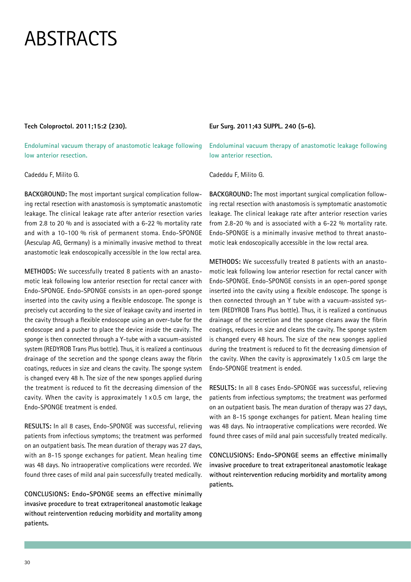#### **Tech Coloproctol. 2011;15:2 (230).**

**Endoluminal vacuum therapy of anastomotic leakage following low anterior resection.**

#### Cadeddu F, Milito G.

**BACKGROUND:** The most important surgical complication following rectal resection with anastomosis is symptomatic anastomotic leakage. The clinical leakage rate after anterior resection varies from 2.8 to 20 % and is associated with a 6-22 % mortality rate and with a 10-100 % risk of permanent stoma. Endo-SPONGE (Aesculap AG, Germany) is a minimally invasive method to threat anastomotic leak endoscopically accessible in the low rectal area.

**METHODS:** We successfully treated 8 patients with an anastomotic leak following low anterior resection for rectal cancer with Endo-SPONGE. Endo-SPONGE consists in an open-pored sponge inserted into the cavity using a flexible endoscope. The sponge is precisely cut according to the size of leakage cavity and inserted in the cavity through a flexible endoscope using an over-tube for the endoscope and a pusher to place the device inside the cavity. The sponge is then connected through a Y-tube with a vacuum-assisted system (REDYROB Trans Plus bottle). Thus, it is realized a continuous drainage of the secretion and the sponge cleans away the fibrin coatings, reduces in size and cleans the cavity. The sponge system is changed every 48 h. The size of the new sponges applied during the treatment is reduced to fit the decreasing dimension of the cavity. When the cavity is approximately 1 x 0.5 cm large, the Endo-SPONGE treatment is ended.

**RESULTS:** In all 8 cases, Endo-SPONGE was successful, relieving patients from infectious symptoms; the treatment was performed on an outpatient basis. The mean duration of therapy was 27 days, with an 8-15 sponge exchanges for patient. Mean healing time was 48 days. No intraoperative complications were recorded. We found three cases of mild anal pain successfully treated medically.

**CONCLUSIONS: Endo-SPONGE seems an effective minimally invasive procedure to treat extraperitoneal anastomotic leakage without reintervention reducing morbidity and mortality among patients.**

**Eur Surg. 2011;43 SUPPL. 240 (5-6).** 

**Endoluminal vacuum therapy of anastomotic leakage following low anterior resection.**

Cadeddu F, Milito G.

**BACKGROUND:** The most important surgical complication following rectal resection with anastomosis is symptomatic anastomotic leakage. The clinical leakage rate after anterior resection varies from 2.8-20 % and is associated with a 6-22 % mortality rate. Endo-SPONGE is a minimally invasive method to threat anastomotic leak endoscopically accessible in the low rectal area.

**METHODS:** We successfully treated 8 patients with an anastomotic leak following low anterior resection for rectal cancer with Endo-SPONGE. Endo-SPONGE consists in an open-pored sponge inserted into the cavity using a flexible endoscope. The sponge is then connected through an Y tube with a vacuum-assisted system (REDYROB Trans Plus bottle). Thus, it is realized a continuous drainage of the secretion and the sponge cleans away the fibrin coatings, reduces in size and cleans the cavity. The sponge system is changed every 48 hours. The size of the new sponges applied during the treatment is reduced to fit the decreasing dimension of the cavity. When the cavity is approximately 1 x 0.5 cm large the Endo-SPONGE treatment is ended.

**RESULTS:** In all 8 cases Endo-SPONGE was successful, relieving patients from infectious symptoms; the treatment was performed on an outpatient basis. The mean duration of therapy was 27 days, with an 8-15 sponge exchanges for patient. Mean healing time was 48 days. No intraoperative complications were recorded. We found three cases of mild anal pain successfully treated medically.

**CONCLUSIONS: Endo-SPONGE seems an effective minimally invasive procedure to treat extraperitoneal anastomotic leakage without reintervention reducing morbidity and mortality among patients.**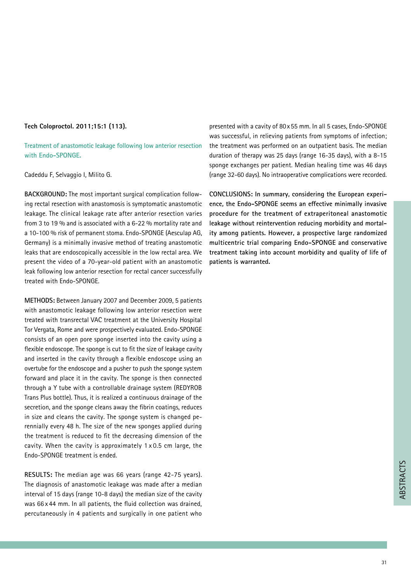#### **Tech Coloproctol. 2011;15:1 (113).**

**Treatment of anastomotic leakage following low anterior resection with Endo-SPONGE.**

Cadeddu F, Selvaggio I, Milito G.

**BACKGROUND:** The most important surgical complication following rectal resection with anastomosis is symptomatic anastomotic leakage. The clinical leakage rate after anterior resection varies from 3 to 19 % and is associated with a 6-22 % mortality rate and a 10-100 % risk of permanent stoma. Endo-SPONGE (Aesculap AG, Germany) is a minimally invasive method of treating anastomotic leaks that are endoscopically accessible in the low rectal area. We present the video of a 70-year-old patient with an anastomotic leak following low anterior resection for rectal cancer successfully treated with Endo-SPONGE.

**METHODS:** Between January 2007 and December 2009, 5 patients with anastomotic leakage following low anterior resection were treated with transrectal VAC treatment at the University Hospital Tor Vergata, Rome and were prospectively evaluated. Endo-SPONGE consists of an open pore sponge inserted into the cavity using a flexible endoscope. The sponge is cut to fit the size of leakage cavity and inserted in the cavity through a flexible endoscope using an overtube for the endoscope and a pusher to push the sponge system forward and place it in the cavity. The sponge is then connected through a Y tube with a controllable drainage system (REDYROB Trans Plus bottle). Thus, it is realized a continuous drainage of the secretion, and the sponge cleans away the fibrin coatings, reduces in size and cleans the cavity. The sponge system is changed perennially every 48 h. The size of the new sponges applied during the treatment is reduced to fit the decreasing dimension of the cavity. When the cavity is approximately 1 x 0.5 cm large, the Endo-SPONGE treatment is ended.

**RESULTS:** The median age was 66 years (range 42-75 years). The diagnosis of anastomotic leakage was made after a median interval of 15 days (range 10-8 days) the median size of the cavity was 66 x 44 mm. In all patients, the fluid collection was drained, percutaneously in 4 patients and surgically in one patient who

presented with a cavity of 80x55 mm. In all 5 cases, Endo-SPONGE was successful, in relieving patients from symptoms of infection; the treatment was performed on an outpatient basis. The median duration of therapy was 25 days (range 16-35 days), with a 8-15 sponge exchanges per patient. Median healing time was 46 days (range 32-60 days). No intraoperative complications were recorded.

**CONCLUSIONS: In summary, considering the European experience, the Endo-SPONGE seems an effective minimally invasive procedure for the treatment of extraperitoneal anastomotic leakage without reintervention reducing morbidity and mortality among patients. However, a prospective large randomized multicentric trial comparing Endo-SPONGE and conservative treatment taking into account morbidity and quality of life of patients is warranted.**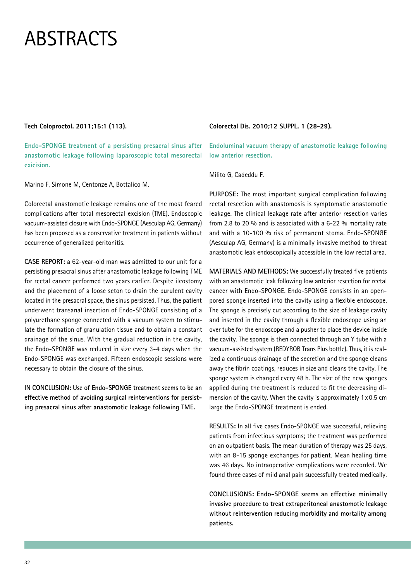#### **Tech Coloproctol. 2011;15:1 (113).**

**Endo-SPONGE treatment of a persisting presacral sinus after anastomotic leakage following laparoscopic total mesorectal exicision.**

Marino F, Simone M, Centonze A, Bottalico M.

Colorectal anastomotic leakage remains one of the most feared complications after total mesorectal excision (TME). Endoscopic vacuum-assisted closure with Endo-SPONGE (Aesculap AG, Germany) has been proposed as a conservative treatment in patients without occurrence of generalized peritonitis.

**CASE REPORT:** a 62-year-old man was admitted to our unit for a persisting presacral sinus after anastomotic leakage following TME for rectal cancer performed two years earlier. Despite ileostomy and the placement of a loose seton to drain the purulent cavity located in the presacral space, the sinus persisted. Thus, the patient underwent transanal insertion of Endo-SPONGE consisting of a polyurethane sponge connected with a vacuum system to stimulate the formation of granulation tissue and to obtain a constant drainage of the sinus. With the gradual reduction in the cavity, the Endo-SPONGE was reduced in size every 3-4 days when the Endo-SPONGE was exchanged. Fifteen endoscopic sessions were necessary to obtain the closure of the sinus.

**IN CONCLUSION: Use of Endo-SPONGE treatment seems to be an effective method of avoiding surgical reinterventions for persisting presacral sinus after anastomotic leakage following TME.**

#### **Colorectal Dis. 2010;12 SUPPL. 1 (28-29).**

**Endoluminal vacuum therapy of anastomotic leakage following low anterior resection.**

Milito G, Cadeddu F.

**PURPOSE:** The most important surgical complication following rectal resection with anastomosis is symptomatic anastomotic leakage. The clinical leakage rate after anterior resection varies from 2.8 to 20 % and is associated with a 6-22 % mortality rate and with a 10-100 % risk of permanent stoma. Endo-SPONGE (Aesculap AG, Germany) is a minimally invasive method to threat anastomotic leak endoscopically accessible in the low rectal area.

**MATERIALS AND METHODS:** We successfully treated five patients with an anastomotic leak following low anterior resection for rectal cancer with Endo-SPONGE. Endo-SPONGE consists in an openpored sponge inserted into the cavity using a flexible endoscope. The sponge is precisely cut according to the size of leakage cavity and inserted in the cavity through a flexible endoscope using an over tube for the endoscope and a pusher to place the device inside the cavity. The sponge is then connected through an Y tube with a vacuum-assisted system (REDYROB Trans Plus bottle). Thus, it is realized a continuous drainage of the secretion and the sponge cleans away the fibrin coatings, reduces in size and cleans the cavity. The sponge system is changed every 48 h. The size of the new sponges applied during the treatment is reduced to fit the decreasing dimension of the cavity. When the cavity is approximately 1x0.5 cm large the Endo-SPONGE treatment is ended.

**RESULTS:** In all five cases Endo-SPONGE was successful, relieving patients from infectious symptoms; the treatment was performed on an outpatient basis. The mean duration of therapy was 25 days, with an 8-15 sponge exchanges for patient. Mean healing time was 46 days. No intraoperative complications were recorded. We found three cases of mild anal pain successfully treated medically.

**CONCLUSIONS: Endo-SPONGE seems an effective minimally invasive procedure to treat extraperitoneal anastomotic leakage without reintervention reducing morbidity and mortality among patients.**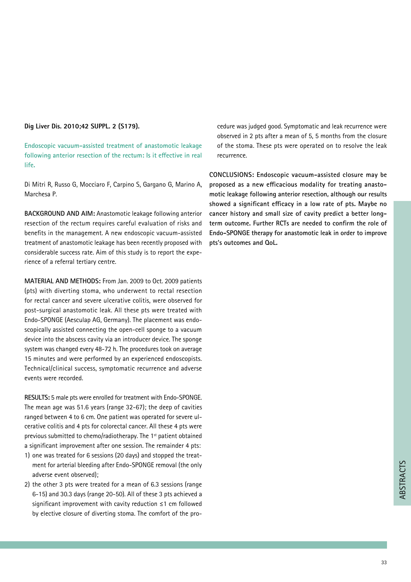#### **Dig Liver Dis. 2010;42 SUPPL. 2 (S179).**

**Endoscopic vacuum-assisted treatment of anastomotic leakage following anterior resection of the rectum: Is it effective in real life.**

Di Mitri R, Russo G, Mocciaro F, Carpino S, Gargano G, Marino A, Marchesa P.

**BACKGROUND AND AIM:** Anastomotic leakage following anterior resection of the rectum requires careful evaluation of risks and benefits in the management. A new endoscopic vacuum-assisted treatment of anastomotic leakage has been recently proposed with considerable success rate. Aim of this study is to report the experience of a referral tertiary centre.

**MATERIAL AND METHODS:** From Jan. 2009 to Oct. 2009 patients (pts) with diverting stoma, who underwent to rectal resection for rectal cancer and severe ulcerative colitis, were observed for post-surgical anastomotic leak. All these pts were treated with Endo-SPONGE (Aesculap AG, Germany). The placement was endoscopically assisted connecting the open-cell sponge to a vacuum device into the abscess cavity via an introducer device. The sponge system was changed every 48-72 h. The procedures took on average 15 minutes and were performed by an experienced endoscopists. Technical/clinical success, symptomatic recurrence and adverse events were recorded.

**RESULTS:** 5 male pts were enrolled for treatment with Endo-SPONGE. The mean age was 51.6 years (range 32-67); the deep of cavities ranged between 4 to 6 cm. One patient was operated for severe ulcerative colitis and 4 pts for colorectal cancer. All these 4 pts were previous submitted to chemo/radiotherapy. The 1<sup>st</sup> patient obtained a significant improvement after one session. The remainder 4 pts:

- 1) one was treated for 6 sessions (20 days) and stopped the treatment for arterial bleeding after Endo-SPONGE removal (the only adverse event observed);
- 2) the other 3 pts were treated for a mean of 6.3 sessions (range 6-15) and 30.3 days (range 20-50). All of these 3 pts achieved a significant improvement with cavity reduction ≤1 cm followed by elective closure of diverting stoma. The comfort of the pro-

cedure was judged good. Symptomatic and leak recurrence were observed in 2 pts after a mean of 5, 5 months from the closure of the stoma. These pts were operated on to resolve the leak recurrence.

**CONCLUSIONS: Endoscopic vacuum-assisted closure may be proposed as a new efficacious modality for treating anastomotic leakage following anterior resection, although our results showed a significant efficacy in a low rate of pts. Maybe no cancer history and small size of cavity predict a better longterm outcome. Further RCTs are needed to confirm the role of Endo-SPONGE therapy for anastomotic leak in order to improve pts's outcomes and QoL.**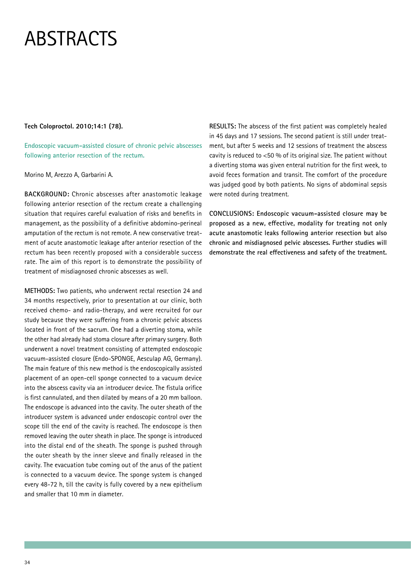#### **Tech Coloproctol. 2010;14:1 (78).**

**Endoscopic vacuum-assisted closure of chronic pelvic abscesses following anterior resection of the rectum.**

#### Morino M, Arezzo A, Garbarini A.

**BACKGROUND:** Chronic abscesses after anastomotic leakage following anterior resection of the rectum create a challenging situation that requires careful evaluation of risks and benefits in management, as the possibility of a definitive abdomino-perineal amputation of the rectum is not remote. A new conservative treatment of acute anastomotic leakage after anterior resection of the rectum has been recently proposed with a considerable success rate. The aim of this report is to demonstrate the possibility of treatment of misdiagnosed chronic abscesses as well.

**METHODS:** Two patients, who underwent rectal resection 24 and 34 months respectively, prior to presentation at our clinic, both received chemo- and radio-therapy, and were recruited for our study because they were suffering from a chronic pelvic abscess located in front of the sacrum. One had a diverting stoma, while the other had already had stoma closure after primary surgery. Both underwent a novel treatment consisting of attempted endoscopic vacuum-assisted closure (Endo-SPONGE, Aesculap AG, Germany). The main feature of this new method is the endoscopically assisted placement of an open-cell sponge connected to a vacuum device into the abscess cavity via an introducer device. The fistula orifice is first cannulated, and then dilated by means of a 20 mm balloon. The endoscope is advanced into the cavity. The outer sheath of the introducer system is advanced under endoscopic control over the scope till the end of the cavity is reached. The endoscope is then removed leaving the outer sheath in place. The sponge is introduced into the distal end of the sheath. The sponge is pushed through the outer sheath by the inner sleeve and finally released in the cavity. The evacuation tube coming out of the anus of the patient is connected to a vacuum device. The sponge system is changed every 48-72 h, till the cavity is fully covered by a new epithelium and smaller that 10 mm in diameter.

**RESULTS:** The abscess of the first patient was completely healed in 45 days and 17 sessions. The second patient is still under treatment, but after 5 weeks and 12 sessions of treatment the abscess cavity is reduced to  $<$  50 % of its original size. The patient without a diverting stoma was given enteral nutrition for the first week, to avoid feces formation and transit. The comfort of the procedure was judged good by both patients. No signs of abdominal sepsis were noted during treatment.

**CONCLUSIONS: Endoscopic vacuum-assisted closure may be proposed as a new, effective, modality for treating not only acute anastomotic leaks following anterior resection but also chronic and misdiagnosed pelvic abscesses. Further studies will demonstrate the real effectiveness and safety of the treatment.**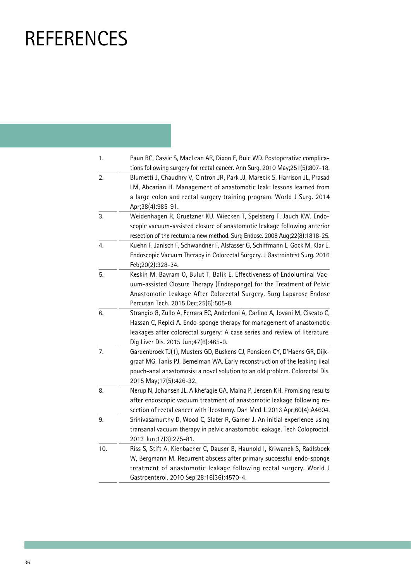### **REFERENCES**

| 1.  | Paun BC, Cassie S, MacLean AR, Dixon E, Buie WD. Postoperative complica-      |
|-----|-------------------------------------------------------------------------------|
|     | tions following surgery for rectal cancer. Ann Surg. 2010 May;251(5):807-18.  |
| 2.  | Blumetti J, Chaudhry V, Cintron JR, Park JJ, Marecik S, Harrison JL, Prasad   |
|     | LM, Abcarian H. Management of anastomotic leak: lessons learned from          |
|     | a large colon and rectal surgery training program. World J Surg. 2014         |
|     | Apr;38(4):985-91.                                                             |
| 3.  | Weidenhagen R, Gruetzner KU, Wiecken T, Spelsberg F, Jauch KW. Endo-          |
|     | scopic vacuum-assisted closure of anastomotic leakage following anterior      |
|     | resection of the rectum: a new method. Surg Endosc. 2008 Aug;22(8):1818-25.   |
| 4.  | Kuehn F, Janisch F, Schwandner F, Alsfasser G, Schiffmann L, Gock M, Klar E.  |
|     | Endoscopic Vacuum Therapy in Colorectal Surgery. J Gastrointest Surg. 2016    |
|     | Feb;20(2):328-34.                                                             |
| 5.  | Keskin M, Bayram O, Bulut T, Balik E. Effectiveness of Endoluminal Vac-       |
|     | uum-assisted Closure Therapy (Endosponge) for the Treatment of Pelvic         |
|     | Anastomotic Leakage After Colorectal Surgery. Surg Laparosc Endosc            |
|     | Percutan Tech. 2015 Dec; 25(6): 505-8.                                        |
| 6.  | Strangio G, Zullo A, Ferrara EC, Anderloni A, Carlino A, Jovani M, Ciscato C, |
|     | Hassan C, Repici A. Endo-sponge therapy for management of anastomotic         |
|     | leakages after colorectal surgery: A case series and review of literature.    |
|     | Dig Liver Dis. 2015 Jun;47(6):465-9.                                          |
| 7.  | Gardenbroek TJ(1), Musters GD, Buskens CJ, Ponsioen CY, D'Haens GR, Dijk-     |
|     | graaf MG, Tanis PJ, Bemelman WA. Early reconstruction of the leaking ileal    |
|     | pouch-anal anastomosis: a novel solution to an old problem. Colorectal Dis.   |
|     | 2015 May; 17(5): 426-32.                                                      |
| 8.  | Nerup N, Johansen JL, Alkhefagie GA, Maina P, Jensen KH. Promising results    |
|     | after endoscopic vacuum treatment of anastomotic leakage following re-        |
|     | section of rectal cancer with ileostomy. Dan Med J. 2013 Apr;60(4):A4604.     |
| 9.  | Srinivasamurthy D, Wood C, Slater R, Garner J. An initial experience using    |
|     | transanal vacuum therapy in pelvic anastomotic leakage. Tech Coloproctol.     |
|     | 2013 Jun;17(3):275-81.                                                        |
| 10. | Riss S, Stift A, Kienbacher C, Dauser B, Haunold I, Kriwanek S, Radlsboek     |
|     | W, Bergmann M. Recurrent abscess after primary successful endo-sponge         |
|     | treatment of anastomotic leakage following rectal surgery. World J            |
|     | Gastroenterol. 2010 Sep 28;16(36):4570-4.                                     |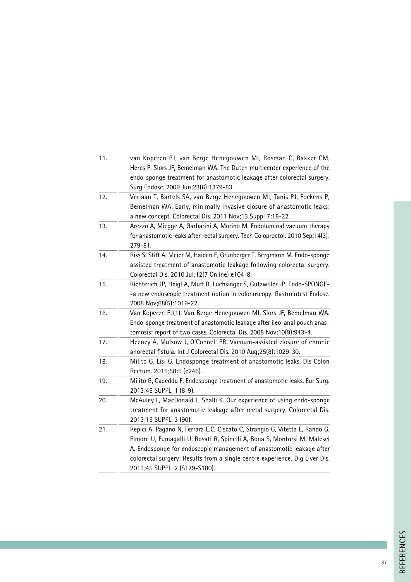| 11. | van Koperen PJ, van Berge Henegouwen MI, Rosman C, Bakker CM,                 |
|-----|-------------------------------------------------------------------------------|
|     | Heres P, Slors JF, Bemelman WA. The Dutch multicenter experience of the       |
|     | endo-sponge treatment for anastomotic leakage after colorectal surgery.       |
|     | Surg Endosc. 2009 Jun;23(6):1379-83.                                          |
| 12. | Verlaan T, Bartels SA, van Berge Henegouwen MI, Tanis PJ, Fockens P,          |
|     | Bemelman WA. Early, minimally invasive closure of anastomotic leaks:          |
|     | a new concept. Colorectal Dis. 2011 Nov;13 Suppl 7:18-22.                     |
| 13. | Arezzo A, Miegge A, Garbarini A, Morino M. Endoluminal vacuum therapy         |
|     | for anastomotic leaks after rectal surgery. Tech Coloproctol. 2010 Sep;14(3): |
|     | 279-81.                                                                       |
| 14. | Riss S, Stift A, Meier M, Haiden E, Grünberger T, Bergmann M. Endo-sponge     |
|     | assisted treatment of anastomotic leakage following colorectal surgery.       |
|     | Colorectal Dis. 2010 Jul;12(7 Online):e104-8.                                 |
| 15. | Richterich JP, Heigl A, Muff B, Luchsinger S, Gutzwiller JP. Endo-SPONGE-     |
|     | -a new endoscopic treatment option in colonoscopy. Gastrointest Endosc.       |
|     | 2008 Nov;68(5):1019-22.                                                       |
| 16. | Van Koperen PJ(1), Van Berge Henegouwen MI, Slors JF, Bemelman WA.            |
|     | Endo-sponge treatment of anastomotic leakage after ileo-anal pouch anas-      |
|     | tomosis: report of two cases. Colorectal Dis. 2008 Nov;10(9):943-4.           |
| 17. | Heeney A, Mulsow J, O'Connell PR. Vacuum-assisted closure of chronic          |
|     | anorectal fistula. Int J Colorectal Dis. 2010 Aug;25(8):1029-30.              |
| 18. | Milito G, Lisi G. Endosponge treatment of anastomotic leaks. Dis Colon        |
|     | Rectum. 2015;58:5 (e246).                                                     |
| 19. | Milito G, Cadeddu F. Endosponge treatment of anastomotic leaks. Eur Surg.     |
|     | 2013;45 SUPPL. 1 (8-9).                                                       |
| 20. | McAuley L, MacDonald L, Shalli K. Our experience of using endo-sponge         |
|     | treatment for anastomotic leakage after rectal surgery. Colorectal Dis.       |
|     | 2013;15 SUPPL. 3 (90).                                                        |
| 21. | Repici A, Pagano N, Ferrara E.C, Ciscato C, Strangio G, Vitetta E, Rando G,   |
|     | Elmore U, Fumagalli U, Rosati R, Spinelli A, Bona S, Montorsi M, Malesci      |
|     | A. Endosponge for endoscopic management of anastomotic leakage after          |
|     | colorectal surgery: Results from a single centre experience. Dig Liver Dis.   |
|     | 2013;45 SUPPL. 2 (S179-S180).                                                 |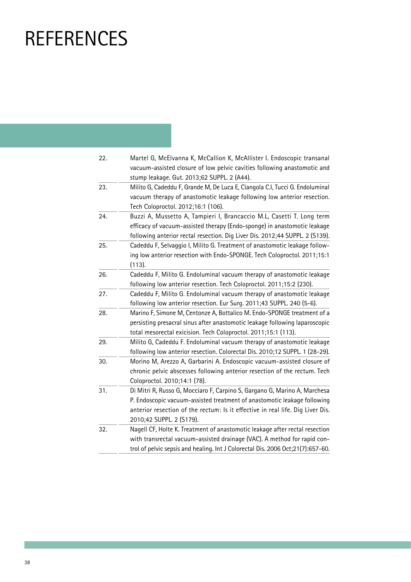### **REFERENCES**

| 22. | Martel G, McElvanna K, McCallion K, McAllister I. Endoscopic transanal          |
|-----|---------------------------------------------------------------------------------|
|     | vacuum-assisted closure of low pelvic cavities following anastomotic and        |
|     | stump leakage. Gut. 2013;62 SUPPL. 2 (A44).                                     |
| 23. | Milito G, Cadeddu F, Grande M, De Luca E, Ciangola C.I, Tucci G. Endoluminal    |
|     | vacuum therapy of anastomotic leakage following low anterior resection.         |
|     | Tech Coloproctol. 2012;16:1 (106).                                              |
| 24. | Buzzi A, Mussetto A, Tampieri I, Brancaccio M.L, Casetti T. Long term           |
|     | efficacy of vacuum-assisted therapy (Endo-sponge) in anastomotic leakage        |
|     | following anterior rectal resection. Dig Liver Dis. 2012;44 SUPPL. 2 (S139).    |
| 25. | Cadeddu F, Selvaggio I, Milito G. Treatment of anastomotic leakage follow-      |
|     | ing low anterior resection with Endo-SPONGE. Tech Coloproctol. 2011;15:1        |
|     | (113).                                                                          |
| 26. | Cadeddu F, Milito G. Endoluminal vacuum therapy of anastomotic leakage          |
|     | following low anterior resection. Tech Coloproctol. 2011;15:2 (230).            |
| 27. | Cadeddu F, Milito G. Endoluminal vacuum therapy of anastomotic leakage          |
|     | following low anterior resection. Eur Surg. 2011;43 SUPPL. 240 (5-6).           |
| 28. | Marino F, Simone M, Centonze A, Bottalico M. Endo-SPONGE treatment of a         |
|     | persisting presacral sinus after anastomotic leakage following laparoscopic     |
|     | total mesorectal exicision. Tech Coloproctol. 2011;15:1 (113).                  |
| 29. | Milito G, Cadeddu F. Endoluminal vacuum therapy of anastomotic leakage          |
|     | following low anterior resection. Colorectal Dis. 2010;12 SUPPL. 1 (28-29).     |
| 30. | Morino M, Arezzo A, Garbarini A. Endoscopic vacuum-assisted closure of          |
|     | chronic pelvic abscesses following anterior resection of the rectum. Tech       |
|     | Coloproctol. 2010;14:1 (78).                                                    |
| 31. | Di Mitri R, Russo G, Mocciaro F, Carpino S, Gargano G, Marino A, Marchesa       |
|     | P. Endoscopic vacuum-assisted treatment of anastomotic leakage following        |
|     | anterior resection of the rectum: Is it effective in real life. Dig Liver Dis.  |
|     | 2010;42 SUPPL. 2 (S179).                                                        |
| 32. | Nagell CF, Holte K. Treatment of anastomotic leakage after rectal resection     |
|     | with transrectal vacuum-assisted drainage (VAC). A method for rapid con-        |
|     | trol of pelvic sepsis and healing. Int J Colorectal Dis. 2006 Oct;21(7):657-60. |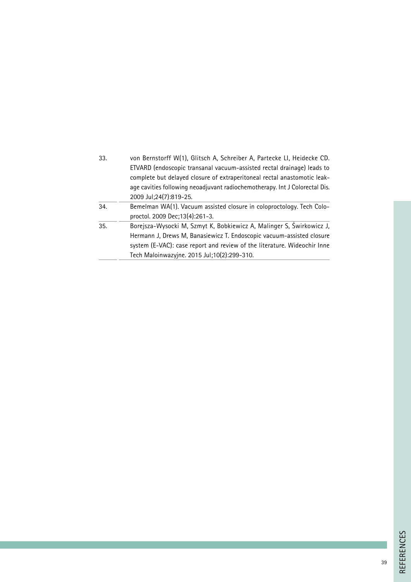| 33. | von Bernstorff W(1), Glitsch A, Schreiber A, Partecke LI, Heidecke CD.<br>ETVARD (endoscopic transanal vacuum-assisted rectal drainage) leads to<br>complete but delayed closure of extraperitoneal rectal anastomotic leak- |
|-----|------------------------------------------------------------------------------------------------------------------------------------------------------------------------------------------------------------------------------|
|     | age cavities following neoadjuvant radiochemotherapy. Int J Colorectal Dis.                                                                                                                                                  |
|     | 2009 Jul;24(7):819-25.                                                                                                                                                                                                       |
| 34. | Bemelman WA(1). Vacuum assisted closure in coloproctology. Tech Colo-                                                                                                                                                        |
|     | proctol. 2009 Dec;13(4):261-3.                                                                                                                                                                                               |
| 35. | Borejsza-Wysocki M, Szmyt K, Bobkiewicz A, Malinger S, Świrkowicz J,                                                                                                                                                         |
|     | Hermann J, Drews M, Banasiewicz T. Endoscopic vacuum-assisted closure                                                                                                                                                        |
|     | system (E-VAC): case report and review of the literature. Wideochir Inne                                                                                                                                                     |
|     | Tech Maloinwazyjne. 2015 Jul;10(2):299-310.                                                                                                                                                                                  |